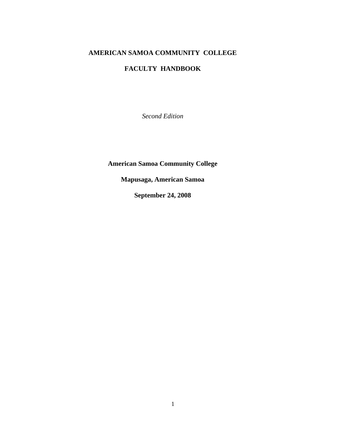# **AMERICAN SAMOA COMMUNITY COLLEGE**

# **FACULTY HANDBOOK**

*Second Edition*

**American Samoa Community College** 

**Mapusaga, American Samoa** 

**September 24, 2008**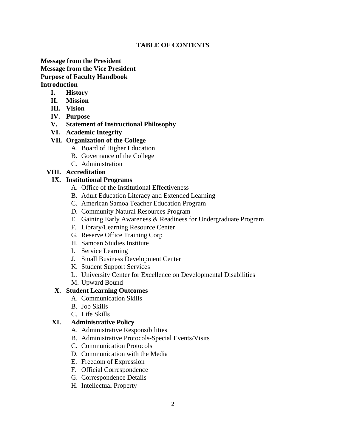## **TABLE OF CONTENTS**

# **Message from the President Message from the Vice President Purpose of Faculty Handbook Introduction**

- **I. History**
- **II. Mission**
- **III. Vision**
- **IV. Purpose**
- **V. Statement of Instructional Philosophy**
- **VI. Academic Integrity**

## **VII. Organization of the College**

- A. Board of Higher Education
- B. Governance of the College
- C. Administration

# **VIII. Accreditation**

## **IX. Institutional Programs**

- A. Office of the Institutional Effectiveness
- B. Adult Education Literacy and Extended Learning
- C. American Samoa Teacher Education Program
- D. Community Natural Resources Program
- E. Gaining Early Awareness & Readiness for Undergraduate Program
- F. Library/Learning Resource Center
- G. Reserve Office Training Corp
- H. Samoan Studies Institute
- I. Service Learning
- J. Small Business Development Center
- K. Student Support Services
- L. University Center for Excellence on Developmental Disabilities
- M. Upward Bound

## **X. Student Learning Outcomes**

- A. Communication Skills
- B. Job Skills
- C. Life Skills

# **XI. Administrative Policy**

- A. Administrative Responsibilities
- B. Administrative Protocols-Special Events/Visits
- C. Communication Protocols
- D. Communication with the Media
- E. Freedom of Expression
- F. Official Correspondence
- G. Correspondence Details
- H. Intellectual Property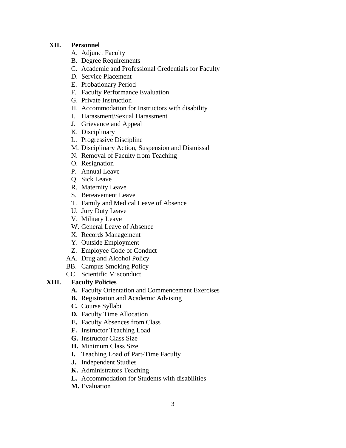## **XII. Personnel**

- A. Adjunct Faculty
- B. Degree Requirements
- C. Academic and Professional Credentials for Faculty
- D. Service Placement
- E. Probationary Period
- F. Faculty Performance Evaluation
- G. Private Instruction
- H. Accommodation for Instructors with disability
- I. Harassment/Sexual Harassment
- J. Grievance and Appeal
- K. Disciplinary
- L. Progressive Discipline
- M. Disciplinary Action, Suspension and Dismissal
- N. Removal of Faculty from Teaching
- O. Resignation
- P. Annual Leave
- Q. Sick Leave
- R. Maternity Leave
- S. Bereavement Leave
- T. Family and Medical Leave of Absence
- U. Jury Duty Leave
- V. Military Leave
- W. General Leave of Absence
- X. Records Management
- Y. Outside Employment
- Z. Employee Code of Conduct
- AA. Drug and Alcohol Policy
- BB. Campus Smoking Policy
- CC. Scientific Misconduct

## **XIII. Faculty Policies**

- **A.** Faculty Orientation and Commencement Exercises
- **B.** Registration and Academic Advising
- **C.** Course Syllabi
- **D.** Faculty Time Allocation
- **E.** Faculty Absences from Class
- **F.** Instructor Teaching Load
- **G.** Instructor Class Size
- **H.** Minimum Class Size
- **I.** Teaching Load of Part-Time Faculty
- **J.** Independent Studies
- **K.** Administrators Teaching
- **L.** Accommodation for Students with disabilities
- **M.** Evaluation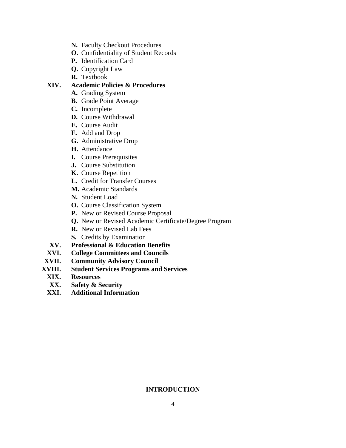- **N.** Faculty Checkout Procedures
- **O.** Confidentiality of Student Records
- **P.** Identification Card
- **Q.** Copyright Law
- **R.** Textbook

## **XIV. Academic Policies & Procedures**

- **A.** Grading System
- **B.** Grade Point Average
- **C.** Incomplete
- **D.** Course Withdrawal
- **E.** Course Audit
- **F.** Add and Drop
- **G.** Administrative Drop
- **H.** Attendance
- **I.** Course Prerequisites
- **J.** Course Substitution
- **K.** Course Repetition
- **L.** Credit for Transfer Courses
- **M.** Academic Standards
- **N.** Student Load
- **O.** Course Classification System
- **P.** New or Revised Course Proposal
- **Q.** New or Revised Academic Certificate/Degree Program
- **R.** New or Revised Lab Fees
- **S.** Credits by Examination
- **XV. Professional & Education Benefits**
- **XVI. College Committees and Councils**
- **XVII. Community Advisory Council**
- **XVIII. Student Services Programs and Services**
- **XIX. Resources** 
	- **XX. Safety & Security**
- **XXI. Additional Information**

# **INTRODUCTION**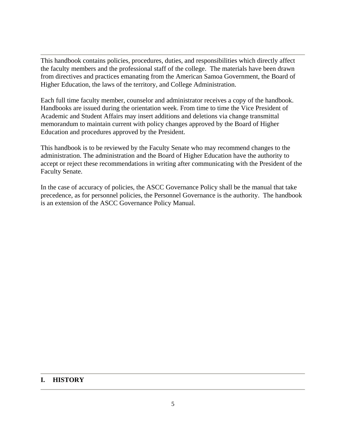This handbook contains policies, procedures, duties, and responsibilities which directly affect the faculty members and the professional staff of the college. The materials have been drawn from directives and practices emanating from the American Samoa Government, the Board of Higher Education, the laws of the territory, and College Administration.

Each full time faculty member, counselor and administrator receives a copy of the handbook. Handbooks are issued during the orientation week. From time to time the Vice President of Academic and Student Affairs may insert additions and deletions via change transmittal memorandum to maintain current with policy changes approved by the Board of Higher Education and procedures approved by the President.

This handbook is to be reviewed by the Faculty Senate who may recommend changes to the administration. The administration and the Board of Higher Education have the authority to accept or reject these recommendations in writing after communicating with the President of the Faculty Senate.

In the case of accuracy of policies, the ASCC Governance Policy shall be the manual that take precedence, as for personnel policies, the Personnel Governance is the authority. The handbook is an extension of the ASCC Governance Policy Manual.

## **I. HISTORY**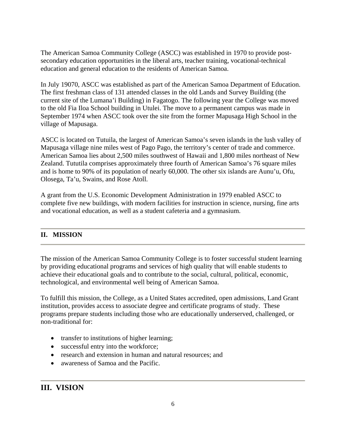The American Samoa Community College (ASCC) was established in 1970 to provide postsecondary education opportunities in the liberal arts, teacher training, vocational-technical education and general education to the residents of American Samoa.

In July 19070, ASCC was established as part of the American Samoa Department of Education. The first freshman class of 131 attended classes in the old Lands and Survey Building (the current site of the Lumana'i Building) in Fagatogo. The following year the College was moved to the old Fia Iloa School building in Utulei. The move to a permanent campus was made in September 1974 when ASCC took over the site from the former Mapusaga High School in the village of Mapusaga.

ASCC is located on Tutuila, the largest of American Samoa's seven islands in the lush valley of Mapusaga village nine miles west of Pago Pago, the territory's center of trade and commerce. American Samoa lies about 2,500 miles southwest of Hawaii and 1,800 miles northeast of New Zealand. Tututila comprises approximately three fourth of American Samoa's 76 square miles and is home to 90% of its population of nearly 60,000. The other six islands are Aunu'u, Ofu, Olosega, Ta'u, Swains, and Rose Atoll.

A grant from the U.S. Economic Development Administration in 1979 enabled ASCC to complete five new buildings, with modern facilities for instruction in science, nursing, fine arts and vocational education, as well as a student cafeteria and a gymnasium.

# **II. MISSION**

The mission of the American Samoa Community College is to foster successful student learning by providing educational programs and services of high quality that will enable students to achieve their educational goals and to contribute to the social, cultural, political, economic, technological, and environmental well being of American Samoa.

To fulfill this mission, the College, as a United States accredited, open admissions, Land Grant institution, provides access to associate degree and certificate programs of study. These programs prepare students including those who are educationally underserved, challenged, or non-traditional for:

- transfer to institutions of higher learning;
- successful entry into the workforce;
- research and extension in human and natural resources; and
- awareness of Samoa and the Pacific.

# **III. VISION**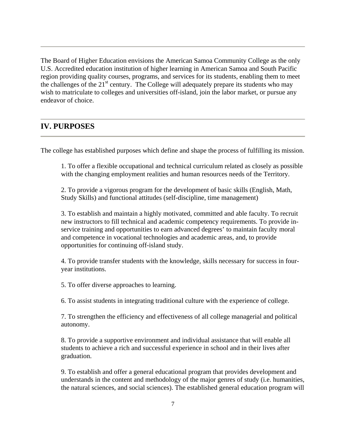The Board of Higher Education envisions the American Samoa Community College as the only U.S. Accredited education institution of higher learning in American Samoa and South Pacific region providing quality courses, programs, and services for its students, enabling them to meet the challenges of the  $21<sup>st</sup>$  century. The College will adequately prepare its students who may wish to matriculate to colleges and universities off-island, join the labor market, or pursue any endeavor of choice.

# **IV. PURPOSES**

The college has established purposes which define and shape the process of fulfilling its mission.

1. To offer a flexible occupational and technical curriculum related as closely as possible with the changing employment realities and human resources needs of the Territory.

2. To provide a vigorous program for the development of basic skills (English, Math, Study Skills) and functional attitudes (self-discipline, time management)

3. To establish and maintain a highly motivated, committed and able faculty. To recruit new instructors to fill technical and academic competency requirements. To provide inservice training and opportunities to earn advanced degrees' to maintain faculty moral and competence in vocational technologies and academic areas, and, to provide opportunities for continuing off-island study.

4. To provide transfer students with the knowledge, skills necessary for success in fouryear institutions.

5. To offer diverse approaches to learning.

6. To assist students in integrating traditional culture with the experience of college.

7. To strengthen the efficiency and effectiveness of all college managerial and political autonomy.

8. To provide a supportive environment and individual assistance that will enable all students to achieve a rich and successful experience in school and in their lives after graduation.

9. To establish and offer a general educational program that provides development and understands in the content and methodology of the major genres of study (i.e. humanities, the natural sciences, and social sciences). The established general education program will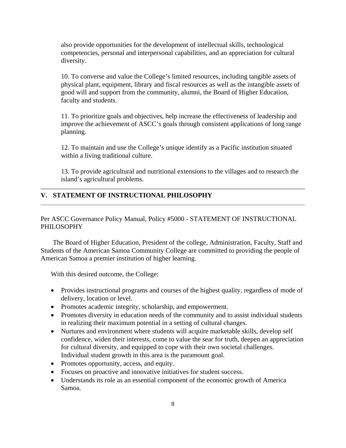also provide opportunities for the development of intellectual skills, technological competencies, personal and interpersonal capabilities, and an appreciation for cultural diversity.

10. To converse and value the College's limited resources, including tangible assets of physical plant, equipment, library and fiscal resources as well as the intangible assets of good will and support from the community, alumni, the Board of Higher Education, faculty and students.

11. To prioritize goals and objectives, help increase the effectiveness of leadership and improve the achievement of ASCC's goals through consistent applications of long range planning.

12. To maintain and use the College's unique identify as a Pacific institution situated within a living traditional culture.

13. To provide agricultural and nutritional extensions to the villages and to research the island's agricultural problems.

## **V. STATEMENT OF INSTRUCTIONAL PHILOSOPHY**

Per ASCC Governance Policy Manual, Policy #5000 - STATEMENT OF INSTRUCTIONAL PHILOSOPHY

The Board of Higher Education, President of the college, Administration, Faculty, Staff and Students of the American Samoa Community College are committed to providing the people of American Samoa a premier institution of higher learning.

With this desired outcome, the College:

- Provides instructional programs and courses of the highest quality, regardless of mode of delivery, location or level.
- Promotes academic integrity, scholarship, and empowerment.
- Promotes diversity in education needs of the community and to assist individual students in realizing their maximum potential in a setting of cultural changes.
- Nurtures and environment where students will acquire marketable skills, develop self confidence, widen their interests, come to value the sear for truth, deepen an appreciation for cultural diversity, and equipped to cope with their own societal challenges. Individual student growth in this area is the paramount goal.
- Promotes opportunity, access, and equity.
- Focuses on proactive and innovative initiatives for student success.
- Understands its role as an essential component of the economic growth of America Samoa.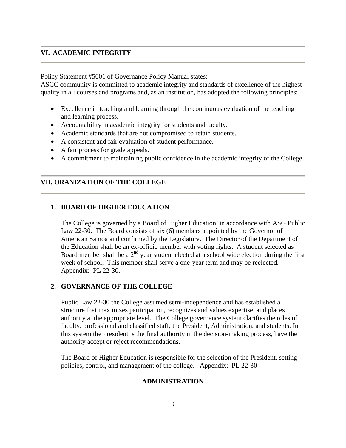## **VI. ACADEMIC INTEGRITY**

Policy Statement #5001 of Governance Policy Manual states:

ASCC community is committed to academic integrity and standards of excellence of the highest quality in all courses and programs and, as an institution, has adopted the following principles:

- Excellence in teaching and learning through the continuous evaluation of the teaching and learning process.
- Accountability in academic integrity for students and faculty.
- Academic standards that are not compromised to retain students.
- A consistent and fair evaluation of student performance.
- A fair process for grade appeals.
- A commitment to maintaining public confidence in the academic integrity of the College.

## **VII. ORANIZATION OF THE COLLEGE**

### **1. BOARD OF HIGHER EDUCATION**

The College is governed by a Board of Higher Education, in accordance with ASG Public Law 22-30. The Board consists of six (6) members appointed by the Governor of American Samoa and confirmed by the Legislature. The Director of the Department of the Education shall be an ex-officio member with voting rights. A student selected as Board member shall be a  $2<sup>nd</sup>$  year student elected at a school wide election during the first week of school. This member shall serve a one-year term and may be reelected. Appendix: PL 22-30.

## **2. GOVERNANCE OF THE COLLEGE**

Public Law 22-30 the College assumed semi-independence and has established a structure that maximizes participation, recognizes and values expertise, and places authority at the appropriate level. The College governance system clarifies the roles of faculty, professional and classified staff, the President, Administration, and students. In this system the President is the final authority in the decision-making process, have the authority accept or reject recommendations.

The Board of Higher Education is responsible for the selection of the President, setting policies, control, and management of the college. Appendix: PL 22-30

### **ADMINISTRATION**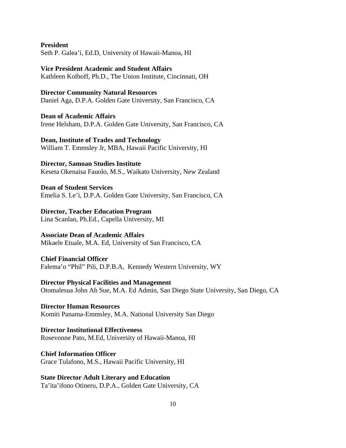**President**  Seth P. Galea'i, Ed.D, University of Hawaii-Manoa, HI

**Vice President Academic and Student Affairs**  Kathleen Kolhoff, Ph.D., The Union Institute, Cincinnati, OH

**Director Community Natural Resources**  Daniel Aga, D.P.A. Golden Gate University, San Francisco, CA

**Dean of Academic Affairs**  Irene Helsham, D.P.A. Golden Gate University, San Francisco, CA

**Dean, Institute of Trades and Technology**  William T. Emmsley Jr, MBA, Hawaii Pacific University, HI

**Director, Samoan Studies Institute**  Keseta Okenaisa Fauolo, M.S., Waikato University, New Zealand

**Dean of Student Services**  Emelia S. Le'i, D.P.A. Golden Gate University, San Francisco, CA

**Director, Teacher Education Program**  Lina Scanlan, Ph.Ed., Capella University, MI

**Associate Dean of Academic Affairs**  Mikaele Etuale, M.A. Ed, University of San Francisco, CA

**Chief Financial Officer**  Falema'o "Phil" Pili, D.P.B.A, Kennedy Western University, WY

**Director Physical Facilities and Management**  Otomalesua John Ah Sue, M.A. Ed Admin, San Diego State University, San Diego, CA

**Director Human Resources**  Komiti Panama-Emmsley, M.A. National University San Diego

**Director Institutional Effectiveness**  Rosevonne Pato, M.Ed, University of Hawaii-Manoa, HI

**Chief Information Officer**  Grace Tulafono, M.S., Hawaii Pacific University, HI

**State Director Adult Literary and Education**  Ta'ita'ifono Otineru, D.P.A., Golden Gate University, CA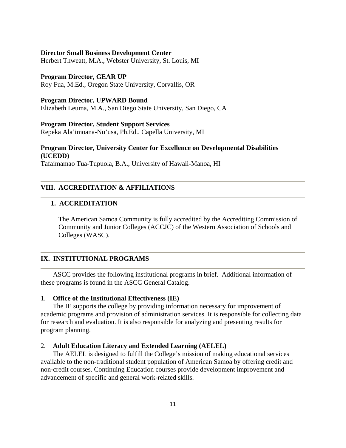#### **Director Small Business Development Center**

Herbert Thweatt, M.A., Webster University, St. Louis, MI

#### **Program Director, GEAR UP**

Roy Fua, M.Ed., Oregon State University, Corvallis, OR

#### **Program Director, UPWARD Bound**

Elizabeth Leuma, M.A., San Diego State University, San Diego, CA

### **Program Director, Student Support Services**

Repeka Ala'imoana-Nu'usa, Ph.Ed., Capella University, MI

# **Program Director, University Center for Excellence on Developmental Disabilities (UCEDD)**

Tafaimamao Tua-Tupuola, B.A., University of Hawaii-Manoa, HI

## **VIII. ACCREDITATION & AFFILIATIONS**

### **1. ACCREDITATION**

The American Samoa Community is fully accredited by the Accrediting Commission of Community and Junior Colleges (ACCJC) of the Western Association of Schools and Colleges (WASC).

### **IX. INSTITUTIONAL PROGRAMS**

ASCC provides the following institutional programs in brief. Additional information of these programs is found in the ASCC General Catalog.

### 1. **Office of the Institutional Effectiveness (IE)**

The IE supports the college by providing information necessary for improvement of academic programs and provision of administration services. It is responsible for collecting data for research and evaluation. It is also responsible for analyzing and presenting results for program planning.

#### 2. **Adult Education Literacy and Extended Learning (AELEL)**

The AELEL is designed to fulfill the College's mission of making educational services available to the non-traditional student population of American Samoa by offering credit and non-credit courses. Continuing Education courses provide development improvement and advancement of specific and general work-related skills.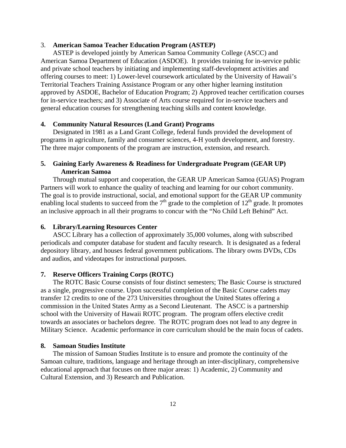#### 3. **American Samoa Teacher Education Program (ASTEP)**

ASTEP is developed jointly by American Samoa Community College (ASCC) and American Samoa Department of Education (ASDOE). It provides training for in-service public and private school teachers by initiating and implementing staff-development activities and offering courses to meet: 1) Lower-level coursework articulated by the University of Hawaii's Territorial Teachers Training Assistance Program or any other higher learning institution approved by ASDOE, Bachelor of Education Program; 2) Approved teacher certification courses for in-service teachers; and 3) Associate of Arts course required for in-service teachers and general education courses for strengthening teaching skills and content knowledge.

### **4. Community Natural Resources (Land Grant) Programs**

Designated in 1981 as a Land Grant College, federal funds provided the development of programs in agriculture, family and consumer sciences, 4-H youth development, and forestry. The three major components of the program are instruction, extension, and research.

## **5. Gaining Early Awareness & Readiness for Undergraduate Program (GEAR UP) American Samoa**

 Through mutual support and cooperation, the GEAR UP American Samoa (GUAS) Program Partners will work to enhance the quality of teaching and learning for our cohort community. The goal is to provide instructional, social, and emotional support for the GEAR UP community enabling local students to succeed from the  $7<sup>th</sup>$  grade to the completion of  $12<sup>th</sup>$  grade. It promotes an inclusive approach in all their programs to concur with the "No Child Left Behind" Act.

### **6. Library/Learning Resources Center**

 ASCC Library has a collection of approximately 35,000 volumes, along with subscribed periodicals and computer database for student and faculty research. It is designated as a federal depository library, and houses federal government publications. The library owns DVDs, CDs and audios, and videotapes for instructional purposes.

### **7. Reserve Officers Training Corps (ROTC)**

The ROTC Basic Course consists of four distinct semesters; The Basic Course is structured as a single, progressive course. Upon successful completion of the Basic Course cadets may transfer 12 credits to one of the 273 Universities throughout the United States offering a commission in the United States Army as a Second Lieutenant. The ASCC is a partnership school with the University of Hawaii ROTC program. The program offers elective credit towards an associates or bachelors degree. The ROTC program does not lead to any degree in Military Science. Academic performance in core curriculum should be the main focus of cadets.

### **8. Samoan Studies Institute**

The mission of Samoan Studies Institute is to ensure and promote the continuity of the Samoan culture, traditions, language and heritage through an inter-disciplinary, comprehensive educational approach that focuses on three major areas: 1) Academic, 2) Community and Cultural Extension, and 3) Research and Publication.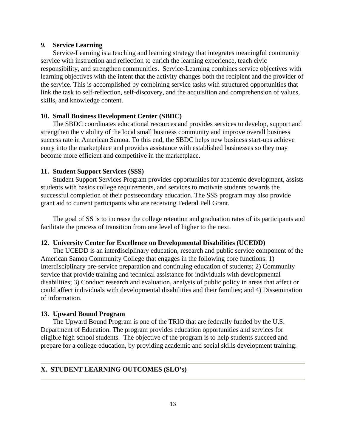### **9. Service Learning**

Service-Learning is a teaching and learning strategy that integrates meaningful community service with instruction and reflection to enrich the learning experience, teach civic responsibility, and strengthen communities. Service-Learning combines service objectives with learning objectives with the intent that the activity changes both the recipient and the provider of the service. This is accomplished by combining service tasks with structured opportunities that link the task to self-reflection, self-discovery, and the acquisition and comprehension of values, skills, and knowledge content.

#### **10. Small Business Development Center (SBDC)**

The SBDC coordinates educational resources and provides services to develop, support and strengthen the viability of the local small business community and improve overall business success rate in American Samoa. To this end, the SBDC helps new business start-ups achieve entry into the marketplace and provides assistance with established businesses so they may become more efficient and competitive in the marketplace.

#### **11. Student Support Services (SSS)**

Student Support Services Program provides opportunities for academic development, assists students with basics college requirements, and services to motivate students towards the successful completion of their postsecondary education. The SSS program may also provide grant aid to current participants who are receiving Federal Pell Grant.

The goal of SS is to increase the college retention and graduation rates of its participants and facilitate the process of transition from one level of higher to the next.

### **12. University Center for Excellence on Developmental Disabilities (UCEDD)**

The UCEDD is an interdisciplinary education, research and public service component of the American Samoa Community College that engages in the following core functions: 1) Interdisciplinary pre-service preparation and continuing education of students; 2) Community service that provide training and technical assistance for individuals with developmental disabilities; 3) Conduct research and evaluation, analysis of public policy in areas that affect or could affect individuals with developmental disabilities and their families; and 4) Dissemination of information.

#### **13. Upward Bound Program**

The Upward Bound Program is one of the TRIO that are federally funded by the U.S. Department of Education. The program provides education opportunities and services for eligible high school students. The objective of the program is to help students succeed and prepare for a college education, by providing academic and social skills development training.

#### **X. STUDENT LEARNING OUTCOMES (SLO's)**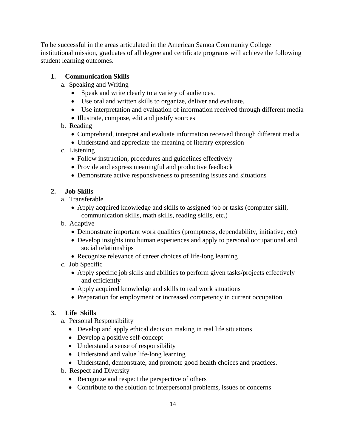To be successful in the areas articulated in the American Samoa Community College institutional mission, graduates of all degree and certificate programs will achieve the following student learning outcomes.

# **1. Communication Skills**

- a. Speaking and Writing
	- Speak and write clearly to a variety of audiences.
	- Use oral and written skills to organize, deliver and evaluate.
	- Use interpretation and evaluation of information received through different media
	- Illustrate, compose, edit and justify sources
- b. Reading
	- Comprehend, interpret and evaluate information received through different media
	- Understand and appreciate the meaning of literary expression
- c. Listening
	- Follow instruction, procedures and guidelines effectively
	- Provide and express meaningful and productive feedback
	- Demonstrate active responsiveness to presenting issues and situations

# **2. Job Skills**

- a. Transferable
	- Apply acquired knowledge and skills to assigned job or tasks (computer skill, communication skills, math skills, reading skills, etc.)
- b. Adaptive
	- Demonstrate important work qualities (promptness, dependability, initiative, etc)
	- Develop insights into human experiences and apply to personal occupational and social relationships
	- Recognize relevance of career choices of life-long learning
- c. Job Specific
	- Apply specific job skills and abilities to perform given tasks/projects effectively and efficiently
	- Apply acquired knowledge and skills to real work situations
	- Preparation for employment or increased competency in current occupation

# **3. Life Skills**

- a. Personal Responsibility
	- Develop and apply ethical decision making in real life situations
	- Develop a positive self-concept
	- Understand a sense of responsibility
	- Understand and value life-long learning
	- Understand, demonstrate, and promote good health choices and practices.
- b. Respect and Diversity
	- Recognize and respect the perspective of others
	- Contribute to the solution of interpersonal problems, issues or concerns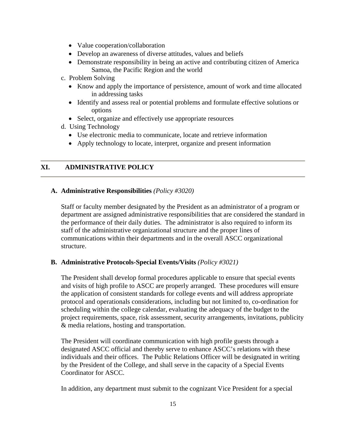- Value cooperation/collaboration
- Develop an awareness of diverse attitudes, values and beliefs
- Demonstrate responsibility in being an active and contributing citizen of America Samoa, the Pacific Region and the world
- c. Problem Solving
	- Know and apply the importance of persistence, amount of work and time allocated in addressing tasks
	- Identify and assess real or potential problems and formulate effective solutions or options
	- Select, organize and effectively use appropriate resources
- d. Using Technology
	- Use electronic media to communicate, locate and retrieve information
	- Apply technology to locate, interpret, organize and present information

## **XI. ADMINISTRATIVE POLICY**

### **A. Administrative Responsibilities** *(Policy #3020)*

Staff or faculty member designated by the President as an administrator of a program or department are assigned administrative responsibilities that are considered the standard in the performance of their daily duties. The administrator is also required to inform its staff of the administrative organizational structure and the proper lines of communications within their departments and in the overall ASCC organizational structure.

### **B. Administrative Protocols-Special Events/Visits** *(Policy #3021)*

The President shall develop formal procedures applicable to ensure that special events and visits of high profile to ASCC are properly arranged. These procedures will ensure the application of consistent standards for college events and will address appropriate protocol and operationals considerations, including but not limited to, co-ordination for scheduling within the college calendar, evaluating the adequacy of the budget to the project requirements, space, risk assessment, security arrangements, invitations, publicity & media relations, hosting and transportation.

The President will coordinate communication with high profile guests through a designated ASCC official and thereby serve to enhance ASCC's relations with these individuals and their offices. The Public Relations Officer will be designated in writing by the President of the College, and shall serve in the capacity of a Special Events Coordinator for ASCC.

In addition, any department must submit to the cognizant Vice President for a special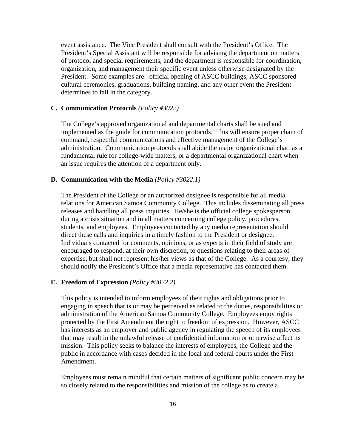event assistance. The Vice President shall consult with the President's Office. The President's Special Assistant will be responsible for advising the department on matters of protocol and special requirements, and the department is responsible for coordination, organization, and management their specific event unless otherwise designated by the President. Some examples are: official opening of ASCC buildings, ASCC sponsored cultural ceremonies, graduations, building naming, and any other event the President determines to fall in the category.

### **C. Communication Protocols** *(Policy #3022)*

The College's approved organizational and departmental charts shall be sued and implemented as the guide for communication protocols. This will ensure proper chain of command, respectful communications and effective management of the College's administration. Communication protocols shall abide the major organizational chart as a fundamental rule for college-wide matters, or a departmental organizational chart when an issue requires the attention of a department only.

#### **D. Communication with the Media** *(Policy #3022.1)*

The President of the College or an authorized designee is responsible for all media relations for American Samoa Community College. This includes disseminating all press releases and handling all press inquiries. He/she is the official college spokesperson during a crisis situation and in all matters concerning college policy, procedures, students, and employees. Employees contacted by any media representation should direct these calls and inquiries in a timely fashion to the President or designee. Individuals contacted for comments, opinions, or as experts in their field of study are encouraged to respond, at their own discretion, to questions relating to their areas of expertise, but shall not represent his/her views as that of the College. As a courtesy, they should notify the President's Office that a media representative has contacted them.

#### **E. Freedom of Expression** *(Policy #3022.2)*

This policy is intended to inform employees of their rights and obligations prior to engaging in speech that is or may be perceived as related to the duties, responsibilities or administration of the American Samoa Community College. Employees enjoy rights protected by the First Amendment the right to freedom of expression. However, ASCC has interests as an employer and public agency in regulating the speech of its employees that may result in the unlawful release of confidential information or otherwise affect its mission. This policy seeks to balance the interests of employees, the College and the public in accordance with cases decided in the local and federal courts under the First Amendment.

Employees must remain mindful that certain matters of significant public concern may be so closely related to the responsibilities and mission of the college as to create a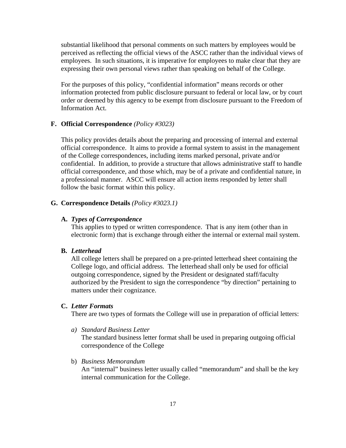substantial likelihood that personal comments on such matters by employees would be perceived as reflecting the official views of the ASCC rather than the individual views of employees. In such situations, it is imperative for employees to make clear that they are expressing their own personal views rather than speaking on behalf of the College.

For the purposes of this policy, "confidential information" means records or other information protected from public disclosure pursuant to federal or local law, or by court order or deemed by this agency to be exempt from disclosure pursuant to the Freedom of Information Act.

### **F. Official Correspondence** *(Policy #3023)*

This policy provides details about the preparing and processing of internal and external official correspondence. It aims to provide a formal system to assist in the management of the College correspondences, including items marked personal, private and/or confidential. In addition, to provide a structure that allows administrative staff to handle official correspondence, and those which, may be of a private and confidential nature, in a professional manner. ASCC will ensure all action items responded by letter shall follow the basic format within this policy.

#### **G. Correspondence Details** *(Policy #3023.1)*

#### **A.** *Types of Correspondence*

This applies to typed or written correspondence. That is any item (other than in electronic form) that is exchange through either the internal or external mail system.

## **B.** *Letterhead*

All college letters shall be prepared on a pre-printed letterhead sheet containing the College logo, and official address. The letterhead shall only be used for official outgoing correspondence, signed by the President or designated staff/faculty authorized by the President to sign the correspondence "by direction" pertaining to matters under their cognizance.

#### **C.** *Letter Formats*

There are two types of formats the College will use in preparation of official letters:

*a) Standard Business Letter* 

The standard business letter format shall be used in preparing outgoing official correspondence of the College

b) *Business Memorandum*

An "internal" business letter usually called "memorandum" and shall be the key internal communication for the College.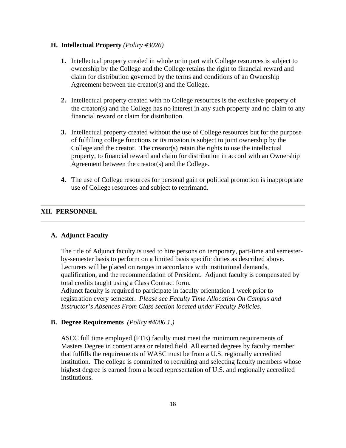### **H. Intellectual Property** *(Policy #3026)*

- **1.** Intellectual property created in whole or in part with College resources is subject to ownership by the College and the College retains the right to financial reward and claim for distribution governed by the terms and conditions of an Ownership Agreement between the creator(s) and the College.
- **2.** Intellectual property created with no College resources is the exclusive property of the creator(s) and the College has no interest in any such property and no claim to any financial reward or claim for distribution.
- **3.** Intellectual property created without the use of College resources but for the purpose of fulfilling college functions or its mission is subject to joint ownership by the College and the creator. The creator(s) retain the rights to use the intellectual property, to financial reward and claim for distribution in accord with an Ownership Agreement between the creator(s) and the College.
- **4.** The use of College resources for personal gain or political promotion is inappropriate use of College resources and subject to reprimand.

### **XII. PERSONNEL**

### **A. Adjunct Faculty**

The title of Adjunct faculty is used to hire persons on temporary, part-time and semesterby-semester basis to perform on a limited basis specific duties as described above. Lecturers will be placed on ranges in accordance with institutional demands, qualification, and the recommendation of President. Adjunct faculty is compensated by total credits taught using a Class Contract form.

Adjunct faculty is required to participate in faculty orientation 1 week prior to registration every semester. *Please see Faculty Time Allocation On Campus and Instructor's Absences From Class section located under Faculty Policies.* 

## **B. Degree Requirements** *(Policy #4006.1,)*

ASCC full time employed (FTE) faculty must meet the minimum requirements of Masters Degree in content area or related field. All earned degrees by faculty member that fulfills the requirements of WASC must be from a U.S. regionally accredited institution. The college is committed to recruiting and selecting faculty members whose highest degree is earned from a broad representation of U.S. and regionally accredited institutions.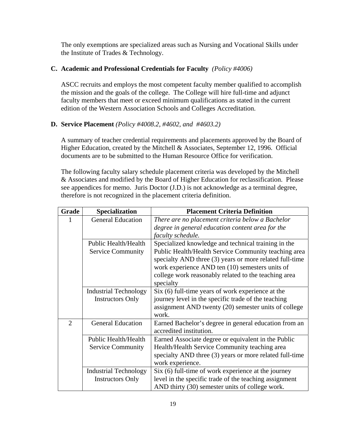The only exemptions are specialized areas such as Nursing and Vocational Skills under the Institute of Trades & Technology.

## **C. Academic and Professional Credentials for Faculty** *(Policy #4006)*

ASCC recruits and employs the most competent faculty member qualified to accomplish the mission and the goals of the college. The College will hire full-time and adjunct faculty members that meet or exceed minimum qualifications as stated in the current edition of the Western Association Schools and Colleges Accreditation.

## **D. Service Placement** *(Policy #4008.2, #4602, and #4603.2)*

A summary of teacher credential requirements and placements approved by the Board of Higher Education, created by the Mitchell & Associates, September 12, 1996. Official documents are to be submitted to the Human Resource Office for verification.

The following faculty salary schedule placement criteria was developed by the Mitchell & Associates and modified by the Board of Higher Education for reclassification. Please see appendices for memo. Juris Doctor (J.D.) is not acknowledge as a terminal degree, therefore is not recognized in the placement criteria definition.

| Grade          | <b>Specialization</b>        | <b>Placement Criteria Definition</b>                    |
|----------------|------------------------------|---------------------------------------------------------|
|                | <b>General Education</b>     | There are no placement criteria below a Bachelor        |
|                |                              | degree in general education content area for the        |
|                |                              | faculty schedule.                                       |
|                | Public Health/Health         | Specialized knowledge and technical training in the     |
|                | <b>Service Community</b>     | Public Health/Health Service Community teaching area    |
|                |                              | specialty AND three (3) years or more related full-time |
|                |                              | work experience AND ten (10) semesters units of         |
|                |                              | college work reasonably related to the teaching area    |
|                |                              | specialty                                               |
|                | <b>Industrial Technology</b> | Six (6) full-time years of work experience at the       |
|                | <b>Instructors Only</b>      | journey level in the specific trade of the teaching     |
|                |                              | assignment AND twenty (20) semester units of college    |
|                |                              | work.                                                   |
| $\overline{2}$ | <b>General Education</b>     | Earned Bachelor's degree in general education from an   |
|                |                              | accredited institution.                                 |
|                | Public Health/Health         | Earned Associate degree or equivalent in the Public     |
|                | <b>Service Community</b>     | Health/Health Service Community teaching area           |
|                |                              | specialty AND three (3) years or more related full-time |
|                |                              | work experience.                                        |
|                | <b>Industrial Technology</b> | Six (6) full-time of work experience at the journey     |
|                | <b>Instructors Only</b>      | level in the specific trade of the teaching assignment  |
|                |                              | AND thirty (30) semester units of college work.         |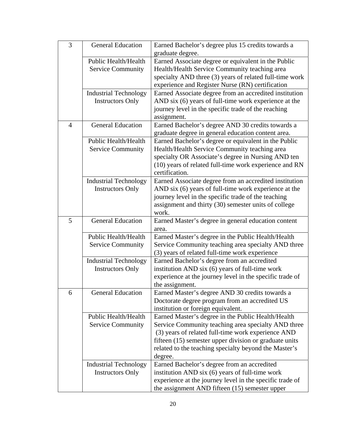| 3              | <b>General Education</b>     | Earned Bachelor's degree plus 15 credits towards a<br>graduate degree.                                     |
|----------------|------------------------------|------------------------------------------------------------------------------------------------------------|
|                | Public Health/Health         | Earned Associate degree or equivalent in the Public                                                        |
|                | <b>Service Community</b>     | Health/Health Service Community teaching area                                                              |
|                |                              | specialty AND three (3) years of related full-time work                                                    |
|                |                              | experience and Register Nurse (RN) certification                                                           |
|                | <b>Industrial Technology</b> | Earned Associate degree from an accredited institution                                                     |
|                | <b>Instructors Only</b>      | AND six (6) years of full-time work experience at the                                                      |
|                |                              | journey level in the specific trade of the reaching                                                        |
|                |                              | assignment.                                                                                                |
| $\overline{4}$ | <b>General Education</b>     | Earned Bachelor's degree AND 30 credits towards a                                                          |
|                |                              | graduate degree in general education content area.                                                         |
|                | Public Health/Health         | Earned Bachelor's degree or equivalent in the Public                                                       |
|                | <b>Service Community</b>     | Health/Health Service Community teaching area                                                              |
|                |                              | specialty OR Associate's degree in Nursing AND ten                                                         |
|                |                              | (10) years of related full-time work experience and RN                                                     |
|                |                              | certification.                                                                                             |
|                | <b>Industrial Technology</b> | Earned Associate degree from an accredited institution                                                     |
|                | <b>Instructors Only</b>      | AND six (6) years of full-time work experience at the                                                      |
|                |                              | journey level in the specific trade of the teaching                                                        |
|                |                              | assignment and thirty (30) semester units of college                                                       |
|                |                              | work.                                                                                                      |
| 5              | <b>General Education</b>     | Earned Master's degree in general education content                                                        |
|                | Public Health/Health         | area.                                                                                                      |
|                | <b>Service Community</b>     | Earned Master's degree in the Public Health/Health<br>Service Community teaching area specialty AND three  |
|                |                              | (3) years of related full-time work experience                                                             |
|                | <b>Industrial Technology</b> | Earned Bachelor's degree from an accredited                                                                |
|                | <b>Instructors Only</b>      | institution AND six (6) years of full-time work                                                            |
|                |                              | experience at the journey level in the specific trade of                                                   |
|                |                              | the assignment.                                                                                            |
| 6              | <b>General Education</b>     | Earned Master's degree AND 30 credits towards a                                                            |
|                |                              | Doctorate degree program from an accredited US                                                             |
|                |                              | institution or foreign equivalent.                                                                         |
|                | Public Health/Health         | Earned Master's degree in the Public Health/Health                                                         |
|                |                              |                                                                                                            |
|                | <b>Service Community</b>     | Service Community teaching area specialty AND three                                                        |
|                |                              | (3) years of related full-time work experience AND                                                         |
|                |                              | fifteen (15) semester upper division or graduate units                                                     |
|                |                              | related to the teaching specialty beyond the Master's                                                      |
|                |                              | degree.                                                                                                    |
|                | <b>Industrial Technology</b> | Earned Bachelor's degree from an accredited                                                                |
|                | <b>Instructors Only</b>      | institution AND six (6) years of full-time work                                                            |
|                |                              | experience at the journey level in the specific trade of<br>the assignment AND fifteen (15) semester upper |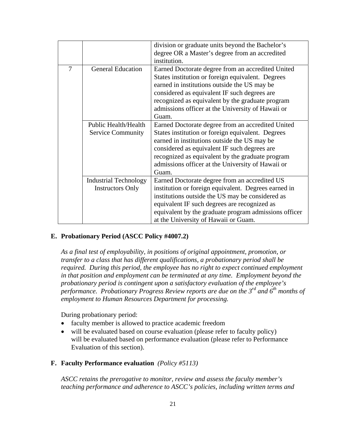|   |                              | division or graduate units beyond the Bachelor's      |
|---|------------------------------|-------------------------------------------------------|
|   |                              | degree OR a Master's degree from an accredited        |
|   |                              | institution.                                          |
| 7 | <b>General Education</b>     | Earned Doctorate degree from an accredited United     |
|   |                              | States institution or foreign equivalent. Degrees     |
|   |                              | earned in institutions outside the US may be          |
|   |                              | considered as equivalent IF such degrees are          |
|   |                              | recognized as equivalent by the graduate program      |
|   |                              | admissions officer at the University of Hawaii or     |
|   |                              | Guam.                                                 |
|   | Public Health/Health         | Earned Doctorate degree from an accredited United     |
|   | <b>Service Community</b>     | States institution or foreign equivalent. Degrees     |
|   |                              | earned in institutions outside the US may be          |
|   |                              | considered as equivalent IF such degrees are          |
|   |                              | recognized as equivalent by the graduate program      |
|   |                              | admissions officer at the University of Hawaii or     |
|   |                              | Guam.                                                 |
|   | <b>Industrial Technology</b> | Earned Doctorate degree from an accredited US         |
|   | <b>Instructors Only</b>      | institution or foreign equivalent. Degrees earned in  |
|   |                              | institutions outside the US may be considered as      |
|   |                              | equivalent IF such degrees are recognized as          |
|   |                              | equivalent by the graduate program admissions officer |
|   |                              | at the University of Hawaii or Guam.                  |

# **E. Probationary Period (ASCC Policy #4007.2)**

*As a final test of employability, in positions of original appointment, promotion, or transfer to a class that has different qualifications, a probationary period shall be required. During this period, the employee has no right to expect continued employment in that position and employment can be terminated at any time. Employment beyond the probationary period is contingent upon a satisfactory evaluation of the employee's performance. Probationary Progress Review reports are due on the 3rd and 6th months of employment to Human Resources Department for processing.* 

During probationary period:

- faculty member is allowed to practice academic freedom
- will be evaluated based on course evaluation (please refer to faculty policy) will be evaluated based on performance evaluation (please refer to Performance Evaluation of this section).
- **F. Faculty Performance evaluation** *(Policy #5113)*

*ASCC retains the prerogative to monitor, review and assess the faculty member's teaching performance and adherence to ASCC's policies, including written terms and*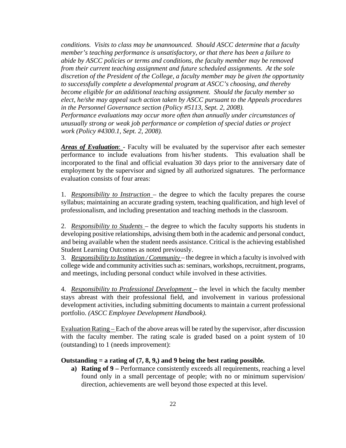*conditions. Visits to class may be unannounced. Should ASCC determine that a faculty member's teaching performance is unsatisfactory, or that there has been a failure to abide by ASCC policies or terms and conditions, the faculty member may be removed from their current teaching assignment and future scheduled assignments. At the sole discretion of the President of the College, a faculty member may be given the opportunity to successfully complete a developmental program at ASCC's choosing, and thereby become eligible for an additional teaching assignment. Should the faculty member so elect, he/she may appeal such action taken by ASCC pursuant to the Appeals procedures in the Personnel Governance section (Policy #5113, Sept. 2, 2008). Performance evaluations may occur more often than annually under circumstances of unusually strong or weak job performance or completion of special duties or project work (Policy #4300.1, Sept. 2, 2008).* 

*Areas of Evaluation*: - Faculty will be evaluated by the supervisor after each semester performance to include evaluations from his/her students. This evaluation shall be incorporated to the final and official evaluation 30 days prior to the anniversary date of employment by the supervisor and signed by all authorized signatures. The performance evaluation consists of four areas:

1. *Responsibility to Instruction* – the degree to which the faculty prepares the course syllabus; maintaining an accurate grading system, teaching qualification, and high level of professionalism, and including presentation and teaching methods in the classroom.

2. *Responsibility to Students* – the degree to which the faculty supports his students in developing positive relationships, advising them both in the academic and personal conduct, and being available when the student needs assistance. Critical is the achieving established Student Learning Outcomes as noted previously.

3. *Responsibility to Institution / Community* – the degree in which a faculty is involved with college wide and community activities such as: seminars, workshops, recruitment, programs, and meetings, including personal conduct while involved in these activities.

4. *Responsibility to Professional Development* – the level in which the faculty member stays abreast with their professional field, and involvement in various professional development activities, including submitting documents to maintain a current professional portfolio. *(ASCC Employee Development Handbook).*

Evaluation Rating – Each of the above areas will be rated by the supervisor, after discussion with the faculty member. The rating scale is graded based on a point system of 10 (outstanding) to 1 (needs improvement):

## **Outstanding = a rating of (7, 8, 9,) and 9 being the best rating possible.**

**a) Rating of 9 –** Performance consistently exceeds all requirements, reaching a level found only in a small percentage of people; with no or minimum supervision/ direction, achievements are well beyond those expected at this level.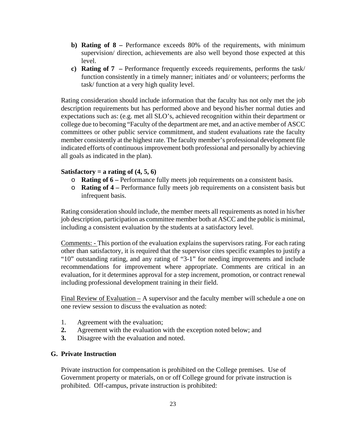- **b) Rating of 8** Performance exceeds 80% of the requirements, with minimum supervision/ direction, achievements are also well beyond those expected at this level.
- **c) Rating of 7** Performance frequently exceeds requirements, performs the task/ function consistently in a timely manner; initiates and/ or volunteers; performs the task/ function at a very high quality level.

Rating consideration should include information that the faculty has not only met the job description requirements but has performed above and beyond his/her normal duties and expectations such as: (e.g. met all SLO's, achieved recognition within their department or college due to becoming "Faculty of the department are met, and an active member of ASCC committees or other public service commitment, and student evaluations rate the faculty member consistently at the highest rate. The faculty member's professional development file indicated efforts of continuous improvement both professional and personally by achieving all goals as indicated in the plan).

#### **Satisfactory = a rating of (4, 5, 6)**

- o **Rating of 6** Performance fully meets job requirements on a consistent basis.
- o **Rating of 4** Performance fully meets job requirements on a consistent basis but infrequent basis.

Rating consideration should include, the member meets all requirements as noted in his/her job description, participation as committee member both at ASCC and the public is minimal, including a consistent evaluation by the students at a satisfactory level.

Comments: - This portion of the evaluation explains the supervisors rating. For each rating other than satisfactory, it is required that the supervisor cites specific examples to justify a "10" outstanding rating, and any rating of "3-1" for needing improvements and include recommendations for improvement where appropriate. Comments are critical in an evaluation, for it determines approval for a step increment, promotion, or contract renewal including professional development training in their field.

Final Review of Evaluation – A supervisor and the faculty member will schedule a one on one review session to discuss the evaluation as noted:

- 1. Agreement with the evaluation;
- **2.** Agreement with the evaluation with the exception noted below; and
- **3.** Disagree with the evaluation and noted.

## **G. Private Instruction**

Private instruction for compensation is prohibited on the College premises. Use of Government property or materials, on or off College ground for private instruction is prohibited. Off-campus, private instruction is prohibited: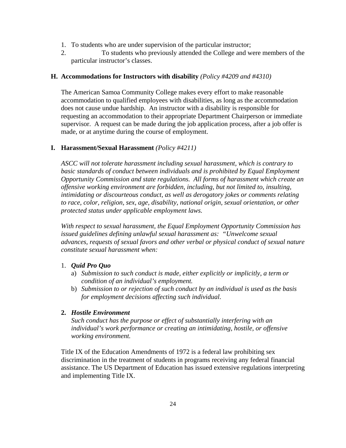- 1. To students who are under supervision of the particular instructor;
- 2. To students who previously attended the College and were members of the particular instructor's classes.

## **H. Accommodations for Instructors with disability** *(Policy #4209 and #4310)*

The American Samoa Community College makes every effort to make reasonable accommodation to qualified employees with disabilities, as long as the accommodation does not cause undue hardship. An instructor with a disability is responsible for requesting an accommodation to their appropriate Department Chairperson or immediate supervisor. A request can be made during the job application process, after a job offer is made, or at anytime during the course of employment.

## **I. Harassment/Sexual Harassment** *(Policy #4211)*

*ASCC will not tolerate harassment including sexual harassment, which is contrary to*  basic standards of conduct between individuals and is prohibited by Equal Employment *Opportunity Commission and state regulations. All forms of harassment which create an offensive working environment are forbidden, including, but not limited to, insulting, intimidating or discourteous conduct, as well as derogatory jokes or comments relating to race, color, religion, sex, age, disability, national origin, sexual orientation, or other protected status under applicable employment laws.* 

*With respect to sexual harassment, the Equal Employment Opportunity Commission has issued guidelines defining unlawful sexual harassment as: "Unwelcome sexual advances, requests of sexual favors and other verbal or physical conduct of sexual nature constitute sexual harassment when:* 

### 1. *Quid Pro Quo*

- a) *Submission to such conduct is made, either explicitly or implicitly, a term or condition of an individual's employment.*
- b) *Submission to or rejection of such conduct by an individual is used as the basis for employment decisions affecting such individual.*

### **2.** *Hostile Environment*

*Such conduct has the purpose or effect of substantially interfering with an individual's work performance or creating an intimidating, hostile, or offensive working environment.* 

Title IX of the Education Amendments of 1972 is a federal law prohibiting sex discrimination in the treatment of students in programs receiving any federal financial assistance. The US Department of Education has issued extensive regulations interpreting and implementing Title IX.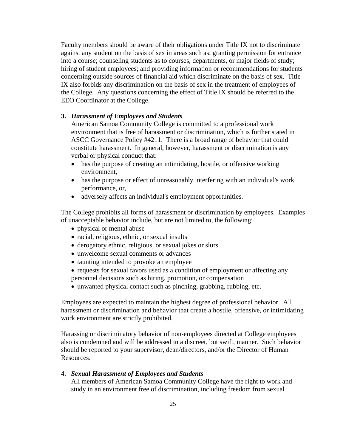Faculty members should be aware of their obligations under Title IX not to discriminate against any student on the basis of sex in areas such as: granting permission for entrance into a course; counseling students as to courses, departments, or major fields of study; hiring of student employees; and providing information or recommendations for students concerning outside sources of financial aid which discriminate on the basis of sex. Title IX also forbids any discrimination on the basis of sex in the treatment of employees of the College. Any questions concerning the effect of Title IX should be referred to the EEO Coordinator at the College.

#### **3.** *Harassment of Employees and Students*

American Samoa Community College is committed to a professional work environment that is free of harassment or discrimination, which is further stated in ASCC Governance Policy #4211. There is a broad range of behavior that could constitute harassment. In general, however, harassment or discrimination is any verbal or physical conduct that:

- has the purpose of creating an intimidating, hostile, or offensive working environment,
- has the purpose or effect of unreasonably interfering with an individual's work performance, or,
- adversely affects an individual's employment opportunities.

The College prohibits all forms of harassment or discrimination by employees. Examples of unacceptable behavior include, but are not limited to, the following:

- physical or mental abuse
- racial, religious, ethnic, or sexual insults
- derogatory ethnic, religious, or sexual jokes or slurs
- unwelcome sexual comments or advances
- taunting intended to provoke an employee
- requests for sexual favors used as a condition of employment or affecting any personnel decisions such as hiring, promotion, or compensation
- unwanted physical contact such as pinching, grabbing, rubbing, etc.

Employees are expected to maintain the highest degree of professional behavior. All harassment or discrimination and behavior that create a hostile, offensive, or intimidating work environment are strictly prohibited.

Harassing or discriminatory behavior of non-employees directed at College employees also is condemned and will be addressed in a discreet, but swift, manner. Such behavior should be reported to your supervisor, dean/directors, and/or the Director of Human Resources.

4. *Sexual Harassment of Employees and Students* All members of American Samoa Community College have the right to work and study in an environment free of discrimination, including freedom from sexual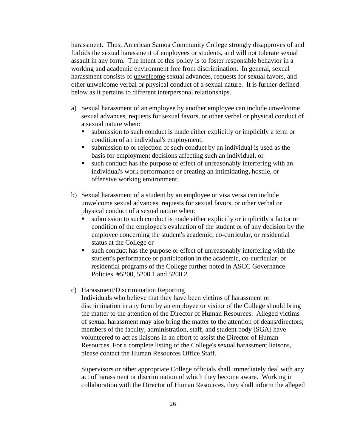harassment. Thus, American Samoa Community College strongly disapproves of and forbids the sexual harassment of employees or students, and will not tolerate sexual assault in any form. The intent of this policy is to foster responsible behavior in a working and academic environment free from discrimination. In general, sexual harassment consists of unwelcome sexual advances, requests for sexual favors, and other unwelcome verbal or physical conduct of a sexual nature. It is further defined below as it pertains to different interpersonal relationships.

- a) Sexual harassment of an employee by another employee can include unwelcome sexual advances, requests for sexual favors, or other verbal or physical conduct of a sexual nature when:
	- submission to such conduct is made either explicitly or implicitly a term or condition of an individual's employment,
	- submission to or rejection of such conduct by an individual is used as the basis for employment decisions affecting such an individual, or
	- such conduct has the purpose or effect of unreasonably interfering with an individual's work performance or creating an intimidating, hostile, or offensive working environment.
- b) Sexual harassment of a student by an employee or visa versa can include unwelcome sexual advances, requests for sexual favors, or other verbal or physical conduct of a sexual nature when:
	- submission to such conduct is made either explicitly or implicitly a factor or condition of the employee's evaluation of the student or of any decision by the employee concerning the student's academic, co-curricular, or residential status at the College or
	- such conduct has the purpose or effect of unreasonably interfering with the student's performance or participation in the academic, co-curricular, or residential programs of the College further noted in ASCC Governance Policies #5200, 5200.1 and 5200.2.
- c) Harassment/Discrimination Reporting

Individuals who believe that they have been victims of harassment or discrimination in any form by an employee or visitor of the College should bring the matter to the attention of the Director of Human Resources. Alleged victims of sexual harassment may also bring the matter to the attention of deans/directors; members of the faculty, administration, staff, and student body (SGA) have volunteered to act as liaisons in an effort to assist the Director of Human Resources. For a complete listing of the College's sexual harassment liaisons, please contact the Human Resources Office Staff.

Supervisors or other appropriate College officials shall immediately deal with any act of harassment or discrimination of which they become aware. Working in collaboration with the Director of Human Resources, they shall inform the alleged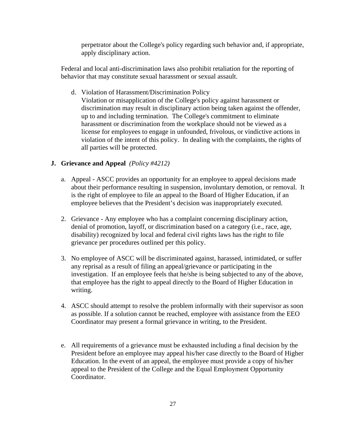perpetrator about the College's policy regarding such behavior and, if appropriate, apply disciplinary action.

Federal and local anti-discrimination laws also prohibit retaliation for the reporting of behavior that may constitute sexual harassment or sexual assault.

d. Violation of Harassment/Discrimination Policy

Violation or misapplication of the College's policy against harassment or discrimination may result in disciplinary action being taken against the offender, up to and including termination. The College's commitment to eliminate harassment or discrimination from the workplace should not be viewed as a license for employees to engage in unfounded, frivolous, or vindictive actions in violation of the intent of this policy. In dealing with the complaints, the rights of all parties will be protected.

### **J. Grievance and Appeal** *(Policy #4212)*

- a. Appeal ASCC provides an opportunity for an employee to appeal decisions made about their performance resulting in suspension, involuntary demotion, or removal. It is the right of employee to file an appeal to the Board of Higher Education, if an employee believes that the President's decision was inappropriately executed.
- 2. Grievance Any employee who has a complaint concerning disciplinary action, denial of promotion, layoff, or discrimination based on a category (i.e., race, age, disability) recognized by local and federal civil rights laws has the right to file grievance per procedures outlined per this policy.
- 3. No employee of ASCC will be discriminated against, harassed, intimidated, or suffer any reprisal as a result of filing an appeal/grievance or participating in the investigation. If an employee feels that he/she is being subjected to any of the above, that employee has the right to appeal directly to the Board of Higher Education in writing.
- 4. ASCC should attempt to resolve the problem informally with their supervisor as soon as possible. If a solution cannot be reached, employee with assistance from the EEO Coordinator may present a formal grievance in writing, to the President.
- e. All requirements of a grievance must be exhausted including a final decision by the President before an employee may appeal his/her case directly to the Board of Higher Education. In the event of an appeal, the employee must provide a copy of his/her appeal to the President of the College and the Equal Employment Opportunity Coordinator.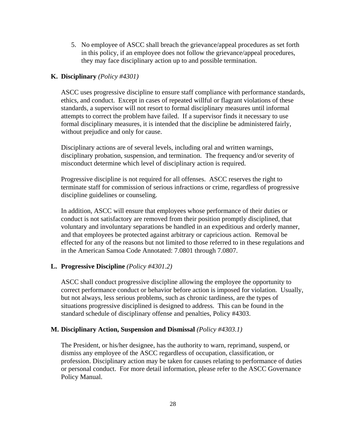5. No employee of ASCC shall breach the grievance/appeal procedures as set forth in this policy, if an employee does not follow the grievance/appeal procedures, they may face disciplinary action up to and possible termination.

### **K. Disciplinary** *(Policy #4301)*

ASCC uses progressive discipline to ensure staff compliance with performance standards, ethics, and conduct. Except in cases of repeated willful or flagrant violations of these standards, a supervisor will not resort to formal disciplinary measures until informal attempts to correct the problem have failed. If a supervisor finds it necessary to use formal disciplinary measures, it is intended that the discipline be administered fairly, without prejudice and only for cause.

Disciplinary actions are of several levels, including oral and written warnings, disciplinary probation, suspension, and termination. The frequency and/or severity of misconduct determine which level of disciplinary action is required.

Progressive discipline is not required for all offenses. ASCC reserves the right to terminate staff for commission of serious infractions or crime, regardless of progressive discipline guidelines or counseling.

In addition, ASCC will ensure that employees whose performance of their duties or conduct is not satisfactory are removed from their position promptly disciplined, that voluntary and involuntary separations be handled in an expeditious and orderly manner, and that employees be protected against arbitrary or capricious action. Removal be effected for any of the reasons but not limited to those referred to in these regulations and in the American Samoa Code Annotated: 7.0801 through 7.0807.

#### **L. Progressive Discipline** *(Policy #4301.2)*

ASCC shall conduct progressive discipline allowing the employee the opportunity to correct performance conduct or behavior before action is imposed for violation. Usually, but not always, less serious problems, such as chronic tardiness, are the types of situations progressive disciplined is designed to address. This can be found in the standard schedule of disciplinary offense and penalties, Policy #4303.

#### **M. Disciplinary Action, Suspension and Dismissal** *(Policy #4303.1)*

The President, or his/her designee, has the authority to warn, reprimand, suspend, or dismiss any employee of the ASCC regardless of occupation, classification, or profession. Disciplinary action may be taken for causes relating to performance of duties or personal conduct. For more detail information, please refer to the ASCC Governance Policy Manual.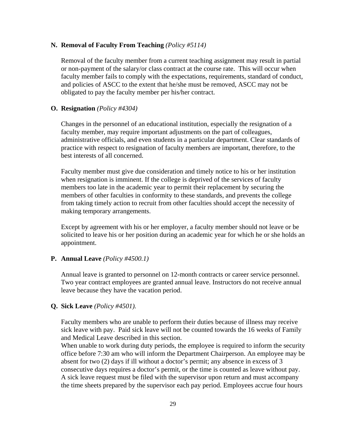#### **N. Removal of Faculty From Teaching** *(Policy #5114)*

Removal of the faculty member from a current teaching assignment may result in partial or non-payment of the salary/or class contract at the course rate. This will occur when faculty member fails to comply with the expectations, requirements, standard of conduct, and policies of ASCC to the extent that he/she must be removed, ASCC may not be obligated to pay the faculty member per his/her contract.

#### **O. Resignation** *(Policy #4304)*

Changes in the personnel of an educational institution, especially the resignation of a faculty member, may require important adjustments on the part of colleagues, administrative officials, and even students in a particular department. Clear standards of practice with respect to resignation of faculty members are important, therefore, to the best interests of all concerned.

Faculty member must give due consideration and timely notice to his or her institution when resignation is imminent. If the college is deprived of the services of faculty members too late in the academic year to permit their replacement by securing the members of other faculties in conformity to these standards, and prevents the college from taking timely action to recruit from other faculties should accept the necessity of making temporary arrangements.

Except by agreement with his or her employer, a faculty member should not leave or be solicited to leave his or her position during an academic year for which he or she holds an appointment.

### **P. Annual Leave** *(Policy #4500.1)*

Annual leave is granted to personnel on 12-month contracts or career service personnel. Two year contract employees are granted annual leave. Instructors do not receive annual leave because they have the vacation period.

#### **Q. Sick Leave** *(Policy #4501).*

Faculty members who are unable to perform their duties because of illness may receive sick leave with pay. Paid sick leave will not be counted towards the 16 weeks of Family and Medical Leave described in this section.

When unable to work during duty periods, the employee is required to inform the security office before 7:30 am who will inform the Department Chairperson. An employee may be absent for two (2) days if ill without a doctor's permit; any absence in excess of 3 consecutive days requires a doctor's permit, or the time is counted as leave without pay. A sick leave request must be filed with the supervisor upon return and must accompany the time sheets prepared by the supervisor each pay period. Employees accrue four hours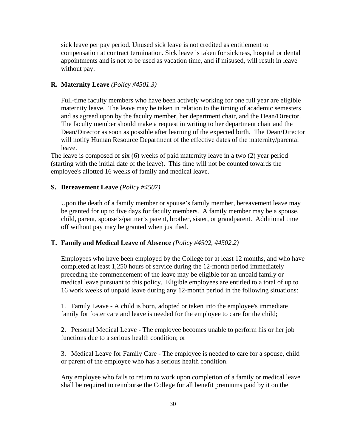sick leave per pay period. Unused sick leave is not credited as entitlement to compensation at contract termination. Sick leave is taken for sickness, hospital or dental appointments and is not to be used as vacation time, and if misused, will result in leave without pay.

## **R. Maternity Leave** *(Policy #4501.3)*

Full-time faculty members who have been actively working for one full year are eligible maternity leave. The leave may be taken in relation to the timing of academic semesters and as agreed upon by the faculty member, her department chair, and the Dean/Director. The faculty member should make a request in writing to her department chair and the Dean/Director as soon as possible after learning of the expected birth. The Dean/Director will notify Human Resource Department of the effective dates of the maternity/parental leave.

The leave is composed of six (6) weeks of paid maternity leave in a two (2) year period (starting with the initial date of the leave). This time will not be counted towards the employee's allotted 16 weeks of family and medical leave.

#### **S. Bereavement Leave** *(Policy #4507)*

Upon the death of a family member or spouse's family member, bereavement leave may be granted for up to five days for faculty members. A family member may be a spouse, child, parent, spouse's/partner's parent, brother, sister, or grandparent. Additional time off without pay may be granted when justified.

#### **T. Family and Medical Leave of Absence** *(Policy #4502, #4502.2)*

Employees who have been employed by the College for at least 12 months, and who have completed at least 1,250 hours of service during the 12-month period immediately preceding the commencement of the leave may be eligible for an unpaid family or medical leave pursuant to this policy. Eligible employees are entitled to a total of up to 16 work weeks of unpaid leave during any 12-month period in the following situations:

1. Family Leave - A child is born, adopted or taken into the employee's immediate family for foster care and leave is needed for the employee to care for the child;

2. Personal Medical Leave - The employee becomes unable to perform his or her job functions due to a serious health condition; or

3. Medical Leave for Family Care - The employee is needed to care for a spouse, child or parent of the employee who has a serious health condition.

Any employee who fails to return to work upon completion of a family or medical leave shall be required to reimburse the College for all benefit premiums paid by it on the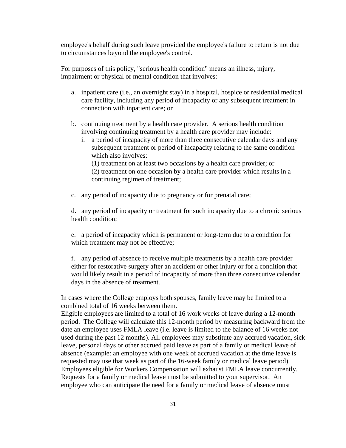employee's behalf during such leave provided the employee's failure to return is not due to circumstances beyond the employee's control.

For purposes of this policy, "serious health condition" means an illness, injury, impairment or physical or mental condition that involves:

- a. inpatient care (i.e., an overnight stay) in a hospital, hospice or residential medical care facility, including any period of incapacity or any subsequent treatment in connection with inpatient care; or
- b. continuing treatment by a health care provider. A serious health condition involving continuing treatment by a health care provider may include:
	- i. a period of incapacity of more than three consecutive calendar days and any subsequent treatment or period of incapacity relating to the same condition which also involves:

(1) treatment on at least two occasions by a health care provider; or (2) treatment on one occasion by a health care provider which results in a continuing regimen of treatment;

c. any period of incapacity due to pregnancy or for prenatal care;

d. any period of incapacity or treatment for such incapacity due to a chronic serious health condition;

e. a period of incapacity which is permanent or long-term due to a condition for which treatment may not be effective;

f. any period of absence to receive multiple treatments by a health care provider either for restorative surgery after an accident or other injury or for a condition that would likely result in a period of incapacity of more than three consecutive calendar days in the absence of treatment.

In cases where the College employs both spouses, family leave may be limited to a combined total of 16 weeks between them.

Eligible employees are limited to a total of 16 work weeks of leave during a 12-month period. The College will calculate this 12-month period by measuring backward from the date an employee uses FMLA leave (i.e. leave is limited to the balance of 16 weeks not used during the past 12 months). All employees may substitute any accrued vacation, sick leave, personal days or other accrued paid leave as part of a family or medical leave of absence (example: an employee with one week of accrued vacation at the time leave is requested may use that week as part of the 16-week family or medical leave period). Employees eligible for Workers Compensation will exhaust FMLA leave concurrently. Requests for a family or medical leave must be submitted to your supervisor. An employee who can anticipate the need for a family or medical leave of absence must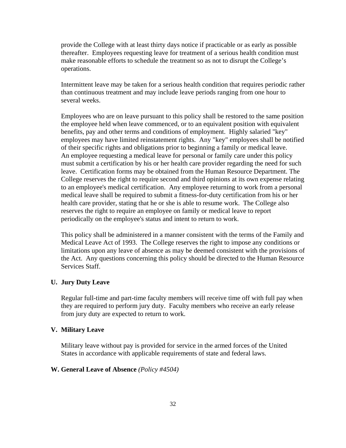provide the College with at least thirty days notice if practicable or as early as possible thereafter. Employees requesting leave for treatment of a serious health condition must make reasonable efforts to schedule the treatment so as not to disrupt the College's operations.

Intermittent leave may be taken for a serious health condition that requires periodic rather than continuous treatment and may include leave periods ranging from one hour to several weeks.

Employees who are on leave pursuant to this policy shall be restored to the same position the employee held when leave commenced, or to an equivalent position with equivalent benefits, pay and other terms and conditions of employment. Highly salaried "key" employees may have limited reinstatement rights. Any "key" employees shall be notified of their specific rights and obligations prior to beginning a family or medical leave. An employee requesting a medical leave for personal or family care under this policy must submit a certification by his or her health care provider regarding the need for such leave. Certification forms may be obtained from the Human Resource Department. The College reserves the right to require second and third opinions at its own expense relating to an employee's medical certification. Any employee returning to work from a personal medical leave shall be required to submit a fitness-for-duty certification from his or her health care provider, stating that he or she is able to resume work. The College also reserves the right to require an employee on family or medical leave to report periodically on the employee's status and intent to return to work.

This policy shall be administered in a manner consistent with the terms of the Family and Medical Leave Act of 1993. The College reserves the right to impose any conditions or limitations upon any leave of absence as may be deemed consistent with the provisions of the Act. Any questions concerning this policy should be directed to the Human Resource Services Staff.

#### **U. Jury Duty Leave**

Regular full-time and part-time faculty members will receive time off with full pay when they are required to perform jury duty. Faculty members who receive an early release from jury duty are expected to return to work.

#### **V. Military Leave**

Military leave without pay is provided for service in the armed forces of the United States in accordance with applicable requirements of state and federal laws.

#### **W. General Leave of Absence** *(Policy #4504)*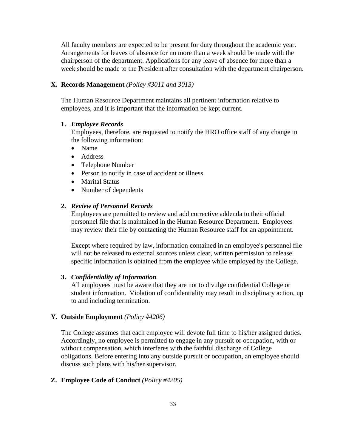All faculty members are expected to be present for duty throughout the academic year. Arrangements for leaves of absence for no more than a week should be made with the chairperson of the department. Applications for any leave of absence for more than a week should be made to the President after consultation with the department chairperson.

#### **X. Records Management** *(Policy #3011 and 3013)*

The Human Resource Department maintains all pertinent information relative to employees, and it is important that the information be kept current.

#### **1.** *Employee Records*

Employees, therefore, are requested to notify the HRO office staff of any change in the following information:

- Name
- Address
- Telephone Number
- Person to notify in case of accident or illness
- Marital Status
- Number of dependents

#### **2.** *Review of Personnel Records*

Employees are permitted to review and add corrective addenda to their official personnel file that is maintained in the Human Resource Department. Employees may review their file by contacting the Human Resource staff for an appointment.

Except where required by law, information contained in an employee's personnel file will not be released to external sources unless clear, written permission to release specific information is obtained from the employee while employed by the College.

#### **3.** *Confidentiality of Information*

All employees must be aware that they are not to divulge confidential College or student information. Violation of confidentiality may result in disciplinary action, up to and including termination.

### **Y. Outside Employment** *(Policy #4206)*

The College assumes that each employee will devote full time to his/her assigned duties. Accordingly, no employee is permitted to engage in any pursuit or occupation, with or without compensation, which interferes with the faithful discharge of College obligations. Before entering into any outside pursuit or occupation, an employee should discuss such plans with his/her supervisor.

## **Z. Employee Code of Conduct** *(Policy #4205)*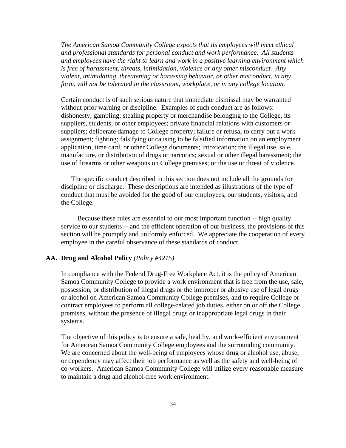*The American Samoa Community College expects that its employees will meet ethical and professional standards for personal conduct and work performance. All students and employees have the right to learn and work in a positive learning environment which is free of harassment, threats, intimidation, violence or any other misconduct. Any violent, intimidating, threatening or harassing behavior, or other misconduct, in any form, will not be tolerated in the classroom, workplace, or in any college location.* 

Certain conduct is of such serious nature that immediate dismissal may be warranted without prior warning or discipline. Examples of such conduct are as follows: dishonesty; gambling; stealing property or merchandise belonging to the College, its suppliers, students, or other employees; private financial relations with customers or suppliers; deliberate damage to College property; failure or refusal to carry out a work assignment; fighting; falsifying or causing to be falsified information on an employment application, time card, or other College documents; intoxication; the illegal use, sale, manufacture, or distribution of drugs or narcotics; sexual or other illegal harassment; the use of firearms or other weapons on College premises; or the use or threat of violence.

 The specific conduct described in this section does not include all the grounds for discipline or discharge. These descriptions are intended as illustrations of the type of conduct that must be avoided for the good of our employees, our students, visitors, and the College.

 Because these rules are essential to our most important function -- high quality service to our students -- and the efficient operation of our business, the provisions of this section will be promptly and uniformly enforced. We appreciate the cooperation of every employee in the careful observance of these standards of conduct.

#### **AA. Drug and Alcohol Policy** *(Policy #4215)*

In compliance with the Federal Drug-Free Workplace Act, it is the policy of American Samoa Community College to provide a work environment that is free from the use, sale, possession, or distribution of illegal drugs or the improper or abusive use of legal drugs or alcohol on American Samoa Community College premises, and to require College or contract employees to perform all college-related job duties, either on or off the College premises, without the presence of illegal drugs or inappropriate legal drugs in their systems.

The objective of this policy is to ensure a safe, healthy, and work-efficient environment for American Samoa Community College employees and the surrounding community. We are concerned about the well-being of employees whose drug or alcohol use, abuse, or dependency may affect their job performance as well as the safety and well-being of co-workers. American Samoa Community College will utilize every reasonable measure to maintain a drug and alcohol-free work environment.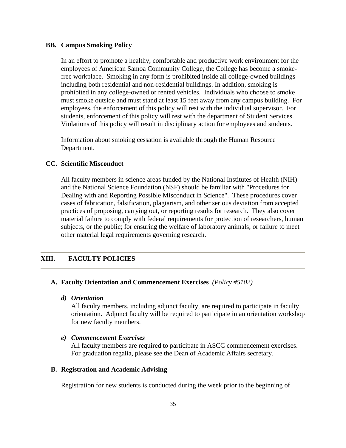#### **BB. Campus Smoking Policy**

In an effort to promote a healthy, comfortable and productive work environment for the employees of American Samoa Community College, the College has become a smokefree workplace. Smoking in any form is prohibited inside all college-owned buildings including both residential and non-residential buildings. In addition, smoking is prohibited in any college-owned or rented vehicles. Individuals who choose to smoke must smoke outside and must stand at least 15 feet away from any campus building. For employees, the enforcement of this policy will rest with the individual supervisor. For students, enforcement of this policy will rest with the department of Student Services. Violations of this policy will result in disciplinary action for employees and students.

Information about smoking cessation is available through the Human Resource Department.

### **CC. Scientific Misconduct**

All faculty members in science areas funded by the National Institutes of Health (NIH) and the National Science Foundation (NSF) should be familiar with "Procedures for Dealing with and Reporting Possible Misconduct in Science". These procedures cover cases of fabrication, falsification, plagiarism, and other serious deviation from accepted practices of proposing, carrying out, or reporting results for research. They also cover material failure to comply with federal requirements for protection of researchers, human subjects, or the public; for ensuring the welfare of laboratory animals; or failure to meet other material legal requirements governing research.

## **XIII. FACULTY POLICIES**

#### **A. Faculty Orientation and Commencement Exercises** *(Policy #5102)*

#### *d) Orientation*

All faculty members, including adjunct faculty, are required to participate in faculty orientation. Adjunct faculty will be required to participate in an orientation workshop for new faculty members.

#### *e) Commencement Exercises*

All faculty members are required to participate in ASCC commencement exercises. For graduation regalia, please see the Dean of Academic Affairs secretary.

#### **B. Registration and Academic Advising**

Registration for new students is conducted during the week prior to the beginning of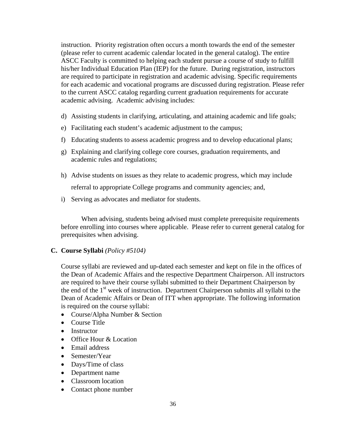instruction. Priority registration often occurs a month towards the end of the semester (please refer to current academic calendar located in the general catalog). The entire ASCC Faculty is committed to helping each student pursue a course of study to fulfill his/her Individual Education Plan (IEP) for the future. During registration, instructors are required to participate in registration and academic advising. Specific requirements for each academic and vocational programs are discussed during registration. Please refer to the current ASCC catalog regarding current graduation requirements for accurate academic advising. Academic advising includes:

- d) Assisting students in clarifying, articulating, and attaining academic and life goals;
- e) Facilitating each student's academic adjustment to the campus;
- f) Educating students to assess academic progress and to develop educational plans;
- g) Explaining and clarifying college core courses, graduation requirements, and academic rules and regulations;
- h) Advise students on issues as they relate to academic progress, which may include referral to appropriate College programs and community agencies; and,
- i) Serving as advocates and mediator for students.

 When advising, students being advised must complete prerequisite requirements before enrolling into courses where applicable. Please refer to current general catalog for prerequisites when advising.

#### **C. Course Syllabi** *(Policy #5104)*

Course syllabi are reviewed and up-dated each semester and kept on file in the offices of the Dean of Academic Affairs and the respective Department Chairperson. All instructors are required to have their course syllabi submitted to their Department Chairperson by the end of the 1<sup>st</sup> week of instruction. Department Chairperson submits all syllabi to the Dean of Academic Affairs or Dean of ITT when appropriate. The following information is required on the course syllabi:

- Course/Alpha Number & Section
- Course Title
- Instructor
- Office Hour & Location
- Email address
- Semester/Year
- Days/Time of class
- Department name
- Classroom location
- Contact phone number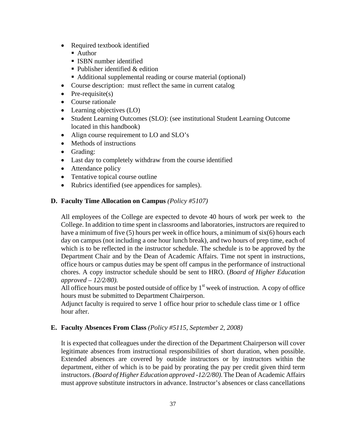- Required textbook identified
	- Author
	- **ISBN** number identified
	- $\blacksquare$  Publisher identified & edition
	- Additional supplemental reading or course material (optional)
- Course description: must reflect the same in current catalog
- Pre-requisite $(s)$
- Course rationale
- Learning objectives (LO)
- Student Learning Outcomes (SLO): (see institutional Student Learning Outcome located in this handbook)
- Align course requirement to LO and SLO's
- Methods of instructions
- Grading:
- Last day to completely withdraw from the course identified
- Attendance policy
- Tentative topical course outline
- Rubrics identified (see appendices for samples).

### **D. Faculty Time Allocation on Campus** *(Policy #5107)*

All employees of the College are expected to devote 40 hours of work per week to the College. In addition to time spent in classrooms and laboratories, instructors are required to have a minimum of five  $(5)$  hours per week in office hours, a minimum of  $six(6)$  hours each day on campus (not including a one hour lunch break), and two hours of prep time, each of which is to be reflected in the instructor schedule. The schedule is to be approved by the Department Chair and by the Dean of Academic Affairs. Time not spent in instructions, office hours or campus duties may be spent off campus in the performance of instructional chores. A copy instructor schedule should be sent to HRO. (*Board of Higher Education approved – 12/2/80).* 

All office hours must be posted outside of office by  $1<sup>st</sup>$  week of instruction. A copy of office hours must be submitted to Department Chairperson.

Adjunct faculty is required to serve 1 office hour prior to schedule class time or 1 office hour after.

### **E. Faculty Absences From Class** *(Policy #5115, September 2, 2008)*

It is expected that colleagues under the direction of the Department Chairperson will cover legitimate absences from instructional responsibilities of short duration, when possible. Extended absences are covered by outside instructors or by instructors within the department, either of which is to be paid by prorating the pay per credit given third term instructors. *(Board of Higher Education approved -12/2/80)*. The Dean of Academic Affairs must approve substitute instructors in advance. Instructor's absences or class cancellations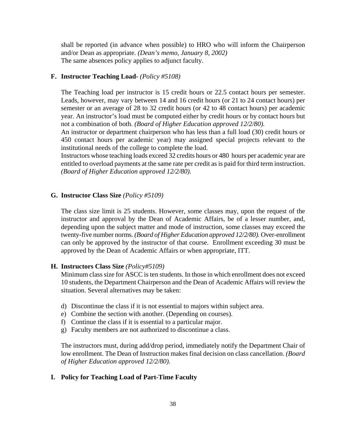shall be reported (in advance when possible) to HRO who will inform the Chairperson and/or Dean as appropriate. *(Dean's memo, January 8, 2002)*  The same absences policy applies to adjunct faculty.

#### **F. Instructor Teaching Load-** *(Policy #5108)*

The Teaching load per instructor is 15 credit hours or 22.5 contact hours per semester. Leads, however, may vary between 14 and 16 credit hours (or 21 to 24 contact hours) per semester or an average of 28 to 32 credit hours (or 42 to 48 contact hours) per academic year. An instructor's load must be computed either by credit hours or by contact hours but not a combination of both. *(Board of Higher Education approved 12/2/80).* 

An instructor or department chairperson who has less than a full load (30) credit hours or 450 contact hours per academic year) may assigned special projects relevant to the institutional needs of the college to complete the load.

Instructors whose teaching loads exceed 32 credits hours or 480 hours per academic year are entitled to overload payments at the same rate per credit as is paid for third term instruction. *(Board of Higher Education approved 12/2/80).* 

#### **G. Instructor Class Size** *(Policy #5109)*

The class size limit is 25 students. However, some classes may, upon the request of the instructor and approval by the Dean of Academic Affairs, be of a lesser number, and, depending upon the subject matter and mode of instruction, some classes may exceed the twenty-five number norms. *(Board of Higher Education approved 12/2/80).* Over-enrollment can only be approved by the instructor of that course. Enrollment exceeding 30 must be approved by the Dean of Academic Affairs or when appropriate, ITT.

#### **H. Instructors Class Size** *(Policy#5109)*

Minimum class size for ASCC is ten students. In those in which enrollment does not exceed 10 students, the Department Chairperson and the Dean of Academic Affairs will review the situation. Several alternatives may be taken:

- d) Discontinue the class if it is not essential to majors within subject area.
- e) Combine the section with another. (Depending on courses).
- f) Continue the class if it is essential to a particular major.
- g) Faculty members are not authorized to discontinue a class.

The instructors must, during add/drop period, immediately notify the Department Chair of low enrollment. The Dean of Instruction makes final decision on class cancellation. *(Board of Higher Education approved 12/2/80).* 

### **I. Policy for Teaching Load of Part-Time Faculty**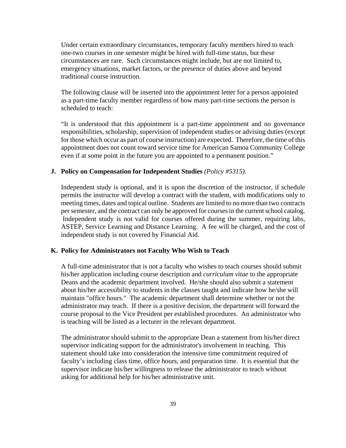Under certain extraordinary circumstances, temporary faculty members hired to teach one-two courses in one semester might be hired with full-time status, but these circumstances are rare. Such circumstances might include, but are not limited to, emergency situations, market factors, or the presence of duties above and beyond traditional course instruction.

The following clause will be inserted into the appointment letter for a person appointed as a part-time faculty member regardless of how many part-time sections the person is scheduled to teach:

"It is understood that this appointment is a part-time appointment and no governance responsibilities, scholarship, supervision of independent studies or advising duties (except for those which occur as part of course instruction) are expected. Therefore, the time of this appointment does not count toward service time for American Samoa Community College even if at some point in the future you are appointed to a permanent position."

#### **J. Policy on Compensation for Independent Studies** *(Policy #5315).*

Independent study is optional, and it is upon the discretion of the instructor, if schedule permits the instructor will develop a contract with the student, with modifications only to meeting times, dates and topical outline. Students are limited to no more than two contracts per semester, and the contract can only be approved for courses in the current school catalog. Independent study is not valid for courses offered during the summer, requiring labs, ASTEP, Service Learning and Distance Learning. A fee will be charged, and the cost of independent study is not covered by Financial Aid.

#### **K. Policy for Administrators not Faculty Who Wish to Teach**

A full-time administrator that is not a faculty who wishes to teach courses should submit his/her application including course description and *curriculum vitae* to the appropriate Deans and the academic department involved. He/she should also submit a statement about his/her accessibility to students in the classes taught and indicate how he/she will maintain "office hours." The academic department shall determine whether or not the administrator may teach. If there is a positive decision, the department will forward the course proposal to the Vice President per established procedures. An administrator who is teaching will be listed as a lecturer in the relevant department.

The administrator should submit to the appropriate Dean a statement from his/her direct supervisor indicating support for the administrator's involvement in teaching. This statement should take into consideration the intensive time commitment required of faculty's including class time, office hours, and preparation time. It is essential that the supervisor indicate his/her willingness to release the administrator to teach without asking for additional help for his/her administrative unit.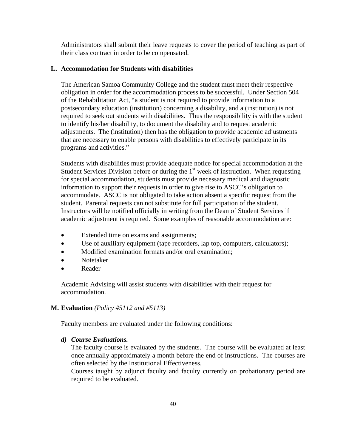Administrators shall submit their leave requests to cover the period of teaching as part of their class contract in order to be compensated.

#### **L. Accommodation for Students with disabilities**

The American Samoa Community College and the student must meet their respective obligation in order for the accommodation process to be successful. Under Section 504 of the Rehabilitation Act, "a student is not required to provide information to a postsecondary education (institution) concerning a disability, and a (institution) is not required to seek out students with disabilities. Thus the responsibility is with the student to identify his/her disability, to document the disability and to request academic adjustments. The (institution) then has the obligation to provide academic adjustments that are necessary to enable persons with disabilities to effectively participate in its programs and activities."

Students with disabilities must provide adequate notice for special accommodation at the Student Services Division before or during the  $1<sup>st</sup>$  week of instruction. When requesting for special accommodation, students must provide necessary medical and diagnostic information to support their requests in order to give rise to ASCC's obligation to accommodate. ASCC is not obligated to take action absent a specific request from the student. Parental requests can not substitute for full participation of the student. Instructors will be notified officially in writing from the Dean of Student Services if academic adjustment is required. Some examples of reasonable accommodation are:

- Extended time on exams and assignments;
- Use of auxiliary equipment (tape recorders, lap top, computers, calculators);
- Modified examination formats and/or oral examination;
- Notetaker
- Reader

Academic Advising will assist students with disabilities with their request for accommodation.

#### **M. Evaluation** *(Policy #5112 and #5113)*

Faculty members are evaluated under the following conditions:

#### *d) Course Evaluations.*

The faculty course is evaluated by the students. The course will be evaluated at least once annually approximately a month before the end of instructions. The courses are often selected by the Institutional Effectiveness.

Courses taught by adjunct faculty and faculty currently on probationary period are required to be evaluated.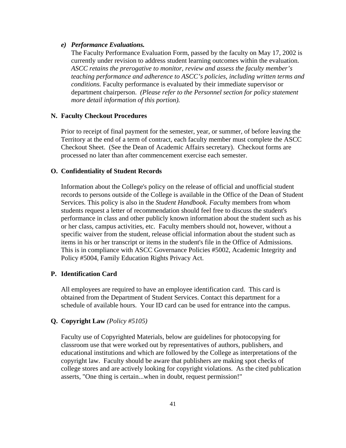#### *e) Performance Evaluations.*

The Faculty Performance Evaluation Form, passed by the faculty on May 17, 2002 is currently under revision to address student learning outcomes within the evaluation. *ASCC retains the prerogative to monitor, review and assess the faculty member's teaching performance and adherence to ASCC's policies, including written terms and conditions.* Faculty performance is evaluated by their immediate supervisor or department chairperson. *(Please refer to the Personnel section for policy statement more detail information of this portion).* 

#### **N. Faculty Checkout Procedures**

Prior to receipt of final payment for the semester, year, or summer, of before leaving the Territory at the end of a term of contract, each faculty member must complete the ASCC Checkout Sheet. (See the Dean of Academic Affairs secretary). Checkout forms are processed no later than after commencement exercise each semester.

#### **O. Confidentiality of Student Records**

Information about the College's policy on the release of official and unofficial student records to persons outside of the College is available in the Office of the Dean of Student Services. This policy is also in the *Student Handbook. Facul*ty members from whom students request a letter of recommendation should feel free to discuss the student's performance in class and other publicly known information about the student such as his or her class, campus activities, etc. Faculty members should not, however, without a specific waiver from the student, release official information about the student such as items in his or her transcript or items in the student's file in the Office of Admissions. This is in compliance with ASCC Governance Policies #5002, Academic Integrity and Policy #5004, Family Education Rights Privacy Act.

## **P. Identification Card**

All employees are required to have an employee identification card. This card is obtained from the Department of Student Services. Contact this department for a schedule of available hours. Your ID card can be used for entrance into the campus.

### **Q. Copyright Law** *(Policy #5105)*

Faculty use of Copyrighted Materials, below are guidelines for photocopying for classroom use that were worked out by representatives of authors, publishers, and educational institutions and which are followed by the College as interpretations of the copyright law. Faculty should be aware that publishers are making spot checks of college stores and are actively looking for copyright violations. As the cited publication asserts, "One thing is certain...when in doubt, request permission!"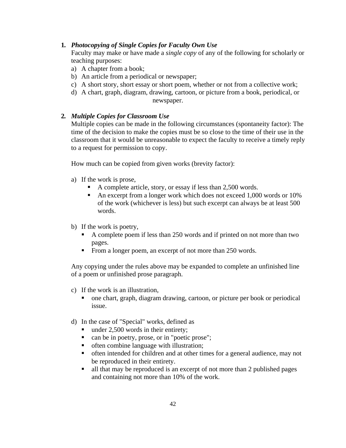#### **1***. Photocopying of Single Copies for Faculty Own Use*

Faculty may make or have made a *single copy* of any of the following for scholarly or teaching purposes:

- a) A chapter from a book;
- b) An article from a periodical or newspaper;
- c) A short story, short essay or short poem, whether or not from a collective work;
- d) A chart, graph, diagram, drawing, cartoon, or picture from a book, periodical, or newspaper.

### **2***. Multiple Copies for Classroom Use*

Multiple copies can be made in the following circumstances (spontaneity factor): The time of the decision to make the copies must be so close to the time of their use in the classroom that it would be unreasonable to expect the faculty to receive a timely reply to a request for permission to copy.

How much can be copied from given works (brevity factor):

- a) If the work is prose,
	- A complete article, story, or essay if less than 2,500 words.
	- An excerpt from a longer work which does not exceed 1,000 words or 10% of the work (whichever is less) but such excerpt can always be at least 500 words.
- b) If the work is poetry,
	- A complete poem if less than 250 words and if printed on not more than two pages.
	- From a longer poem, an excerpt of not more than 250 words.

Any copying under the rules above may be expanded to complete an unfinished line of a poem or unfinished prose paragraph.

- c) If the work is an illustration,
	- one chart, graph, diagram drawing, cartoon, or picture per book or periodical issue.
- d) In the case of "Special" works, defined as
	- under 2,500 words in their entirety;
	- can be in poetry, prose, or in "poetic prose";
	- often combine language with illustration;
	- often intended for children and at other times for a general audience, may not be reproduced in their entirety.
	- all that may be reproduced is an excerpt of not more than 2 published pages and containing not more than 10% of the work.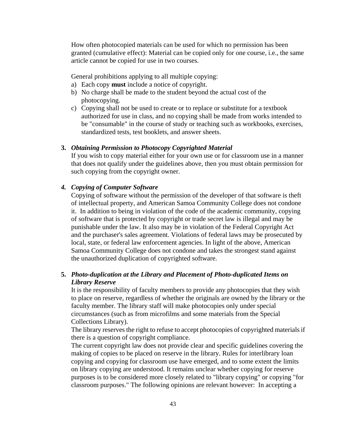How often photocopied materials can be used for which no permission has been granted (cumulative effect): Material can be copied only for one course, i.e., the same article cannot be copied for use in two courses.

General prohibitions applying to all multiple copying:

- a) Each copy **must** include a notice of copyright.
- b) No charge shall be made to the student beyond the actual cost of the photocopying.
- c) Copying shall not be used to create or to replace or substitute for a textbook authorized for use in class, and no copying shall be made from works intended to be "consumable" in the course of study or teaching such as workbooks, exercises, standardized tests, test booklets, and answer sheets.

#### **3.** *Obtaining Permission to Photocopy Copyrighted Material*

If you wish to copy material either for your own use or for classroom use in a manner that does not qualify under the guidelines above, then you must obtain permission for such copying from the copyright owner.

#### *4. Copying of Computer Software*

Copying of software without the permission of the developer of that software is theft of intellectual property, and American Samoa Community College does not condone it. In addition to being in violation of the code of the academic community, copying of software that is protected by copyright or trade secret law is illegal and may be punishable under the law. It also may be in violation of the Federal Copyright Act and the purchaser's sales agreement. Violations of federal laws may be prosecuted by local, state, or federal law enforcement agencies. In light of the above, American Samoa Community College does not condone and takes the strongest stand against the unauthorized duplication of copyrighted software.

## **5.** *Photo-duplication at the Library and Placement of Photo-duplicated Items on Library Reserve*

It is the responsibility of faculty members to provide any photocopies that they wish to place on reserve, regardless of whether the originals are owned by the library or the faculty member. The library staff will make photocopies only under special circumstances (such as from microfilms and some materials from the Special Collections Library).

The library reserves the right to refuse to accept photocopies of copyrighted materials if there is a question of copyright compliance.

The current copyright law does not provide clear and specific guidelines covering the making of copies to be placed on reserve in the library. Rules for interlibrary loan copying and copying for classroom use have emerged, and to some extent the limits on library copying are understood. It remains unclear whether copying for reserve purposes is to be considered more closely related to "library copying" or copying "for classroom purposes." The following opinions are relevant however: In accepting a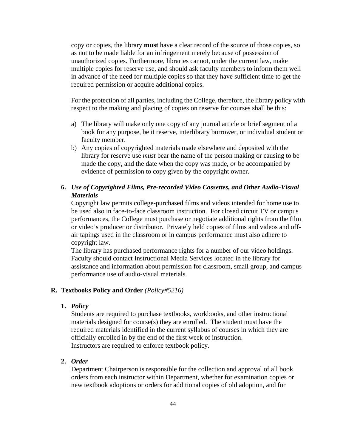copy or copies, the library **must** have a clear record of the source of those copies, so as not to be made liable for an infringement merely because of possession of unauthorized copies. Furthermore, libraries cannot, under the current law, make multiple copies for reserve use, and should ask faculty members to inform them well in advance of the need for multiple copies so that they have sufficient time to get the required permission or acquire additional copies.

For the protection of all parties, including the College, therefore, the library policy with respect to the making and placing of copies on reserve for courses shall be this:

- a) The library will make only one copy of any journal article or brief segment of a book for any purpose, be it reserve, interlibrary borrower, or individual student or faculty member.
- b) Any copies of copyrighted materials made elsewhere and deposited with the library for reserve use *must* bear the name of the person making or causing to be made the copy, and the date when the copy was made, *or* be accompanied by evidence of permission to copy given by the copyright owner.

# **6.** *Use of Copyrighted Films, Pre-recorded Video Cassettes, and Other Audio-Visual Materials*

Copyright law permits college-purchased films and videos intended for home use to be used also in face-to-face classroom instruction. For closed circuit TV or campus performances, the College must purchase or negotiate additional rights from the film or video's producer or distributor. Privately held copies of films and videos and offair tapings used in the classroom or in campus performance must also adhere to copyright law.

The library has purchased performance rights for a number of our video holdings. Faculty should contact Instructional Media Services located in the library for assistance and information about permission for classroom, small group, and campus performance use of audio-visual materials.

#### **R. Textbooks Policy and Order** *(Policy#5216)*

#### **1.** *Policy*

Students are required to purchase textbooks, workbooks, and other instructional materials designed for course(s) they are enrolled. The student must have the required materials identified in the current syllabus of courses in which they are officially enrolled in by the end of the first week of instruction. Instructors are required to enforce textbook policy.

### **2.** *Order*

Department Chairperson is responsible for the collection and approval of all book orders from each instructor within Department, whether for examination copies or new textbook adoptions or orders for additional copies of old adoption, and for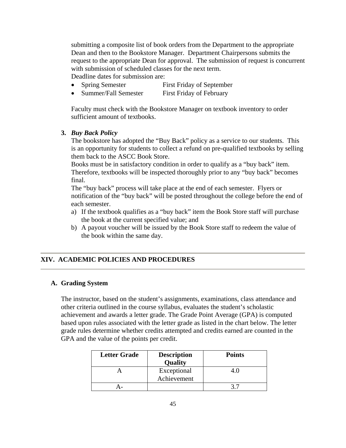submitting a composite list of book orders from the Department to the appropriate Dean and then to the Bookstore Manager. Department Chairpersons submits the request to the appropriate Dean for approval. The submission of request is concurrent with submission of scheduled classes for the next term.

Deadline dates for submission are:

- Spring Semester First Friday of September
- Summer/Fall Semester First Friday of February

Faculty must check with the Bookstore Manager on textbook inventory to order sufficient amount of textbooks.

### **3.** *Buy Back Policy*

The bookstore has adopted the "Buy Back" policy as a service to our students. This is an opportunity for students to collect a refund on pre-qualified textbooks by selling them back to the ASCC Book Store.

Books must be in satisfactory condition in order to qualify as a "buy back" item. Therefore, textbooks will be inspected thoroughly prior to any "buy back" becomes final.

The "buy back" process will take place at the end of each semester. Flyers or notification of the "buy back" will be posted throughout the college before the end of each semester.

- a) If the textbook qualifies as a "buy back" item the Book Store staff will purchase the book at the current specified value; and
- b) A payout voucher will be issued by the Book Store staff to redeem the value of the book within the same day.

### **XIV. ACADEMIC POLICIES AND PROCEDURES**

#### **A. Grading System**

The instructor, based on the student's assignments, examinations, class attendance and other criteria outlined in the course syllabus, evaluates the student's scholastic achievement and awards a letter grade. The Grade Point Average (GPA) is computed based upon rules associated with the letter grade as listed in the chart below. The letter grade rules determine whether credits attempted and credits earned are counted in the GPA and the value of the points per credit.

| <b>Letter Grade</b> | <b>Description</b><br>Quality | <b>Points</b> |
|---------------------|-------------------------------|---------------|
|                     | Exceptional<br>Achievement    |               |
|                     |                               |               |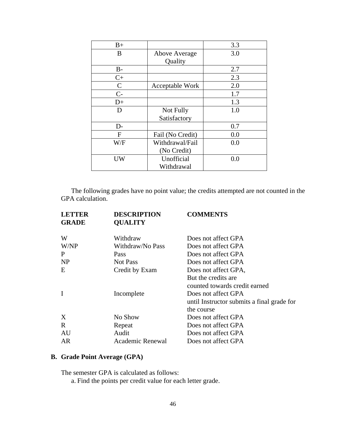| $B+$         |                  | 3.3 |
|--------------|------------------|-----|
| B            | Above Average    | 3.0 |
|              | Quality          |     |
| $B -$        |                  | 2.7 |
| $C+$         |                  | 2.3 |
| $\mathsf{C}$ | Acceptable Work  | 2.0 |
| $C-$         |                  | 1.7 |
| $D+$         |                  | 1.3 |
| D            | Not Fully        | 1.0 |
|              | Satisfactory     |     |
| D-           |                  | 0.7 |
| F            | Fail (No Credit) | 0.0 |
| W/F          | Withdrawal/Fail  | 0.0 |
|              | (No Credit)      |     |
| UW           | Unofficial       | 0.0 |
|              | Withdrawal       |     |

 The following grades have no point value; the credits attempted are not counted in the GPA calculation.

| <b>LETTER</b><br><b>GRADE</b> | <b>DESCRIPTION</b><br><b>QUALITY</b> | <b>COMMENTS</b>                                      |
|-------------------------------|--------------------------------------|------------------------------------------------------|
| W                             | Withdraw                             | Does not affect GPA                                  |
| W/NP                          | Withdraw/No Pass                     | Does not affect GPA                                  |
| P                             | Pass                                 | Does not affect GPA                                  |
| <b>NP</b>                     | Not Pass                             | Does not affect GPA                                  |
| E                             | Credit by Exam                       | Does not affect GPA,                                 |
|                               |                                      | But the credits are<br>counted towards credit earned |
| I                             | Incomplete                           | Does not affect GPA                                  |
|                               |                                      | until Instructor submits a final grade for           |
|                               |                                      | the course                                           |
| X                             | No Show                              | Does not affect GPA                                  |
| R                             | Repeat                               | Does not affect GPA                                  |
| AU                            | Audit                                | Does not affect GPA                                  |
| AR                            | Academic Renewal                     | Does not affect GPA                                  |
|                               |                                      |                                                      |

# **B. Grade Point Average (GPA)**

The semester GPA is calculated as follows:

a. Find the points per credit value for each letter grade.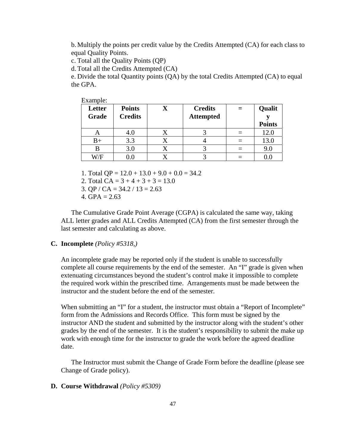b. Multiply the points per credit value by the Credits Attempted (CA) for each class to equal Quality Points.

c. Total all the Quality Points (QP)

d.Total all the Credits Attempted (CA)

e. Divide the total Quantity points (QA) by the total Credits Attempted (CA) to equal the GPA.

| Example |
|---------|
|---------|

| <b>Letter</b><br>Grade | <b>Points</b><br><b>Credits</b> | <b>Credits</b><br><b>Attempted</b> | Qualit<br><b>Points</b> |
|------------------------|---------------------------------|------------------------------------|-------------------------|
| A                      | 4.0                             |                                    | 12.0                    |
| $_{\rm B+}$            | 3.3                             |                                    | 13.0                    |
| В                      | 3.0                             |                                    | 9.0                     |
| W/F                    | $0.0\,$                         |                                    |                         |

1. Total  $OP = 12.0 + 13.0 + 9.0 + 0.0 = 34.2$ 

2. Total CA =  $3 + 4 + 3 + 3 = 13.0$ 

3. QP / CA =  $34.2$  /  $13 = 2.63$ 

4. GPA =  $2.63$ 

The Cumulative Grade Point Average (CGPA) is calculated the same way, taking ALL letter grades and ALL Credits Attempted (CA) from the first semester through the last semester and calculating as above.

### **C. Incomplete** *(Policy #5318,)*

An incomplete grade may be reported only if the student is unable to successfully complete all course requirements by the end of the semester. An "I" grade is given when extenuating circumstances beyond the student's control make it impossible to complete the required work within the prescribed time. Arrangements must be made between the instructor and the student before the end of the semester.

When submitting an "I" for a student, the instructor must obtain a "Report of Incomplete" form from the Admissions and Records Office. This form must be signed by the instructor AND the student and submitted by the instructor along with the student's other grades by the end of the semester. It is the student's responsibility to submit the make up work with enough time for the instructor to grade the work before the agreed deadline date.

The Instructor must submit the Change of Grade Form before the deadline (please see Change of Grade policy).

#### **D. Course Withdrawal** *(Policy #5309)*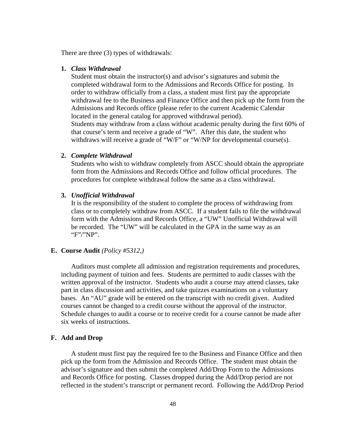There are three (3) types of withdrawals:

#### **1.** *Class Withdrawal*

Student must obtain the instructor(s) and advisor's signatures and submit the completed withdrawal form to the Admissions and Records Office for posting. In order to withdraw officially from a class, a student must first pay the appropriate withdrawal fee to the Business and Finance Office and then pick up the form from the Admissions and Records office (please refer to the current Academic Calendar located in the general catalog for approved withdrawal period). Students may withdraw from a class without academic penalty during the first 60% of that course's term and receive a grade of "W". After this date, the student who withdraws will receive a grade of "W/F" or "W/NP for developmental course(s).

#### **2.** *Complete Withdrawal*

Students who wish to withdraw completely from ASCC should obtain the appropriate form from the Admissions and Records Office and follow official procedures. The procedures for complete withdrawal follow the same as a class withdrawal.

#### **3.** *Unofficial Withdrawal*

It is the responsibility of the student to complete the process of withdrawing from class or to completely withdraw from ASCC. If a student fails to file the withdrawal form with the Admissions and Records Office, a "UW" Unofficial Withdrawal will be recorded. The "UW" will be calculated in the GPA in the same way as an "F"/"NP".

#### **E. Course Audit** *(Policy #5312,)*

Auditors must complete all admission and registration requirements and procedures, including payment of tuition and fees. Students are permitted to audit classes with the written approval of the instructor. Students who audit a course may attend classes, take part in class discussion and activities, and take quizzes examinations on a voluntary bases. An "AU" grade will be entered on the transcript with no credit given. Audited courses cannot be changed to a credit course without the approval of the instructor. Schedule changes to audit a course or to receive credit for a course cannot be made after six weeks of instructions.

#### **F. Add and Drop**

A student must first pay the required fee to the Business and Finance Office and then pick up the form from the Admission and Records Office. The student must obtain the advisor's signature and then submit the completed Add/Drop Form to the Admissions and Records Office for posting. Classes dropped during the Add/Drop period are not reflected in the student's transcript or permanent record. Following the Add/Drop Period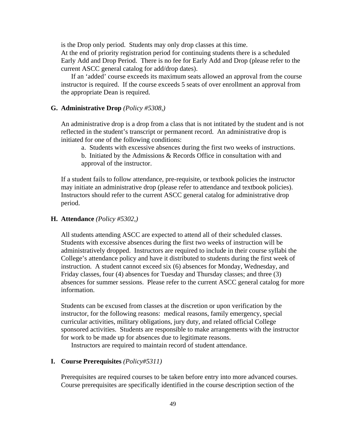is the Drop only period. Students may only drop classes at this time.

At the end of priority registration period for continuing students there is a scheduled Early Add and Drop Period. There is no fee for Early Add and Drop (please refer to the current ASCC general catalog for add/drop dates).

If an 'added' course exceeds its maximum seats allowed an approval from the course instructor is required. If the course exceeds 5 seats of over enrollment an approval from the appropriate Dean is required.

#### **G. Administrative Drop** *(Policy #5308,)*

An administrative drop is a drop from a class that is not intitated by the student and is not reflected in the student's transcript or permanent record. An administrative drop is initiated for one of the following conditions:

a. Students with excessive absences during the first two weeks of instructions.

b. Initiated by the Admissions & Records Office in consultation with and approval of the instructor.

If a student fails to follow attendance, pre-requisite, or textbook policies the instructor may initiate an administrative drop (please refer to attendance and textbook policies). Instructors should refer to the current ASCC general catalog for administrative drop period.

#### **H. Attendance** *(Policy #5302,)*

All students attending ASCC are expected to attend all of their scheduled classes. Students with excessive absences during the first two weeks of instruction will be administratively dropped. Instructors are required to include in their course syllabi the College's attendance policy and have it distributed to students during the first week of instruction. A student cannot exceed six (6) absences for Monday, Wednesday, and Friday classes, four (4) absences for Tuesday and Thursday classes; and three (3) absences for summer sessions. Please refer to the current ASCC general catalog for more information.

Students can be excused from classes at the discretion or upon verification by the instructor, for the following reasons: medical reasons, family emergency, special curricular activities, military obligations, jury duty, and related official College sponsored activities. Students are responsible to make arrangements with the instructor for work to be made up for absences due to legitimate reasons.

Instructors are required to maintain record of student attendance.

### **I. Course Prerequisites** *(Policy#5311)*

Prerequisites are required courses to be taken before entry into more advanced courses. Course prerequisites are specifically identified in the course description section of the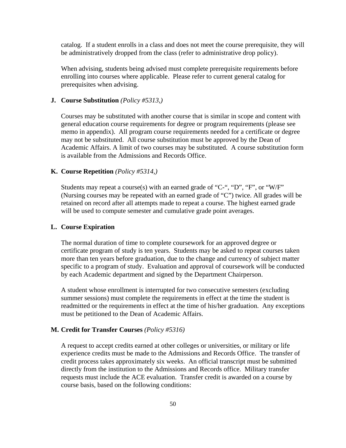catalog. If a student enrolls in a class and does not meet the course prerequisite, they will be administratively dropped from the class (refer to administrative drop policy).

When advising, students being advised must complete prerequisite requirements before enrolling into courses where applicable. Please refer to current general catalog for prerequisites when advising.

### **J. Course Substitution** *(Policy #5313,)*

Courses may be substituted with another course that is similar in scope and content with general education course requirements for degree or program requirements (please see memo in appendix). All program course requirements needed for a certificate or degree may not be substituted. All course substitution must be approved by the Dean of Academic Affairs. A limit of two courses may be substituted. A course substitution form is available from the Admissions and Records Office.

#### **K. Course Repetition** *(Policy #5314,)*

Students may repeat a course(s) with an earned grade of "C-", "D", "F", or "W/F" (Nursing courses may be repeated with an earned grade of "C") twice. All grades will be retained on record after all attempts made to repeat a course. The highest earned grade will be used to compute semester and cumulative grade point averages.

#### **L. Course Expiration**

The normal duration of time to complete coursework for an approved degree or certificate program of study is ten years. Students may be asked to repeat courses taken more than ten years before graduation, due to the change and currency of subject matter specific to a program of study. Evaluation and approval of coursework will be conducted by each Academic department and signed by the Department Chairperson.

A student whose enrollment is interrupted for two consecutive semesters (excluding summer sessions) must complete the requirements in effect at the time the student is readmitted or the requirements in effect at the time of his/her graduation. Any exceptions must be petitioned to the Dean of Academic Affairs.

#### **M. Credit for Transfer Courses** *(Policy #5316)*

A request to accept credits earned at other colleges or universities, or military or life experience credits must be made to the Admissions and Records Office. The transfer of credit process takes approximately six weeks. An official transcript must be submitted directly from the institution to the Admissions and Records office. Military transfer requests must include the ACE evaluation. Transfer credit is awarded on a course by course basis, based on the following conditions: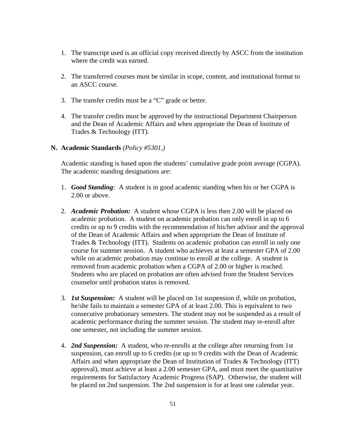- 1. The transcript used is an official copy received directly by ASCC from the institution where the credit was earned.
- 2. The transferred courses must be similar in scope, content, and institutional format to an ASCC course.
- 3. The transfer credits must be a "C" grade or better.
- 4. The transfer credits must be approved by the instructional Department Chairperson and the Dean of Academic Affairs and when appropriate the Dean of Institute of Trades & Technology (ITT).
- **N. Academic Standards** *(Policy #5301,)*

Academic standing is based upon the students' cumulative grade point average (CGPA). The academic standing designations are:

- 1. *Good Standing:* A student is in good academic standing when his or her CGPA is 2.00 or above.
- 2. *Academic Probation:* A student whose CGPA is less then 2.00 will be placed on academic probation. A student on academic probation can only enroll in up to 6 credits or up to 9 credits with the recommendation of his/her advisor and the approval of the Dean of Academic Affairs and when appropriate the Dean of Institute of Trades & Technology (ITT). Students on academic probation can enroll in only one course for summer session. A student who achieves at least a semester GPA of 2.00 while on academic probation may continue to enroll at the college. A student is removed from academic probation when a CGPA of 2.00 or higher is reached. Students who are placed on probation are often advised from the Student Services counselor until probation status is removed.
- 3. *1st Suspension:* A student will be placed on 1st suspension if, while on probation, he/she fails to maintain a semester GPA of at least 2.00. This is equivalent to two consecutive probationary semesters. The student may not be suspended as a result of academic performance during the summer session. The student may re-enroll after one semester, not including the summer session.
- 4. *2nd Suspension:* A student, who re-enrolls at the college after returning from 1st suspension, can enroll up to 6 credits (or up to 9 credits with the Dean of Academic Affairs and when appropriate the Dean of Institution of Trades & Technology (ITT) approval), must achieve at least a 2.00 semester GPA, and must meet the quantitative requirements for Satisfactory Academic Progress (SAP). Otherwise, the student will be placed on 2nd suspension. The 2nd suspension is for at least one calendar year.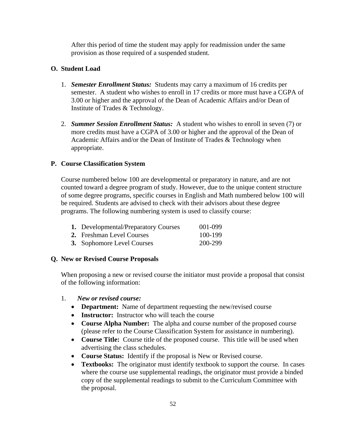After this period of time the student may apply for readmission under the same provision as those required of a suspended student.

## **O. Student Load**

- 1. *Semester Enrollment Status:* Students may carry a maximum of 16 credits per semester. A student who wishes to enroll in 17 credits or more must have a CGPA of 3.00 or higher and the approval of the Dean of Academic Affairs and/or Dean of Institute of Trades & Technology.
- 2. *Summer Session Enrollment Status:* A student who wishes to enroll in seven (7) or more credits must have a CGPA of 3.00 or higher and the approval of the Dean of Academic Affairs and/or the Dean of Institute of Trades & Technology when appropriate.

### **P. Course Classification System**

Course numbered below 100 are developmental or preparatory in nature, and are not counted toward a degree program of study. However, due to the unique content structure of some degree programs, specific courses in English and Math numbered below 100 will be required. Students are advised to check with their advisors about these degree programs. The following numbering system is used to classify course:

|  | <b>1.</b> Developmental/Preparatory Courses | 001-099 |
|--|---------------------------------------------|---------|
|--|---------------------------------------------|---------|

- **2.** Freshman Level Courses 100-199
- **3.** Sophomore Level Courses 200-299

### **Q. New or Revised Course Proposals**

When proposing a new or revised course the initiator must provide a proposal that consist of the following information:

- 1. *New or revised course:*
	- **Department:** Name of department requesting the new/revised course
	- **Instructor:** Instructor who will teach the course
	- **Course Alpha Number:** The alpha and course number of the proposed course (please refer to the Course Classification System for assistance in numbering).
	- **Course Title:** Course title of the proposed course. This title will be used when advertising the class schedules.
	- **Course Status:** Identify if the proposal is New or Revised course.
	- **Textbooks:** The originator must identify textbook to support the course. In cases where the course use supplemental readings, the originator must provide a binded copy of the supplemental readings to submit to the Curriculum Committee with the proposal.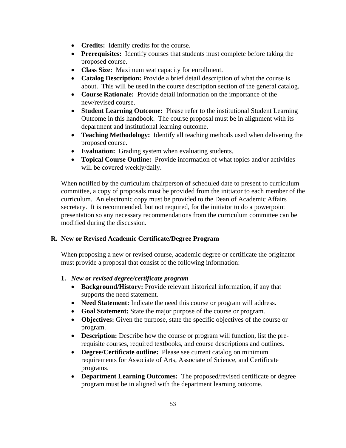- **Credits:** Identify credits for the course.
- **Prerequisites:** Identify courses that students must complete before taking the proposed course.
- **Class Size:** Maximum seat capacity for enrollment.
- **Catalog Description:** Provide a brief detail description of what the course is about. This will be used in the course description section of the general catalog.
- **Course Rationale:** Provide detail information on the importance of the new/revised course.
- **Student Learning Outcome:** Please refer to the institutional Student Learning Outcome in this handbook. The course proposal must be in alignment with its department and institutional learning outcome.
- **Teaching Methodology:** Identify all teaching methods used when delivering the proposed course.
- **Evaluation:** Grading system when evaluating students.
- **Topical Course Outline:** Provide information of what topics and/or activities will be covered weekly/daily.

When notified by the curriculum chairperson of scheduled date to present to curriculum committee, a copy of proposals must be provided from the initiator to each member of the curriculum. An electronic copy must be provided to the Dean of Academic Affairs secretary. It is recommended, but not required, for the initiator to do a powerpoint presentation so any necessary recommendations from the curriculum committee can be modified during the discussion.

# **R. New or Revised Academic Certificate/Degree Program**

When proposing a new or revised course, academic degree or certificate the originator must provide a proposal that consist of the following information:

### **1.** *New or revised degree/certificate program*

- **Background/History:** Provide relevant historical information, if any that supports the need statement.
- **Need Statement:** Indicate the need this course or program will address.
- **Goal Statement:** State the major purpose of the course or program.
- **Objectives:** Given the purpose, state the specific objectives of the course or program.
- **Description:** Describe how the course or program will function, list the prerequisite courses, required textbooks, and course descriptions and outlines.
- **Degree/Certificate outline:** Please see current catalog on minimum requirements for Associate of Arts, Associate of Science, and Certificate programs.
- **Department Learning Outcomes:** The proposed/revised certificate or degree program must be in aligned with the department learning outcome.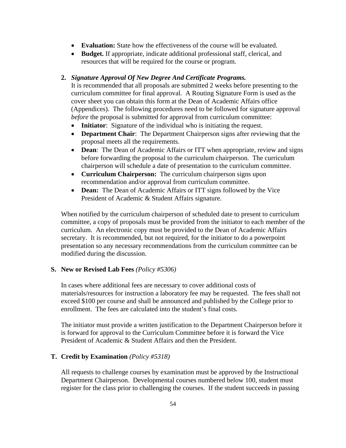- **Evaluation:** State how the effectiveness of the course will be evaluated.
- **Budget.** If appropriate, indicate additional professional staff, clerical, and resources that will be required for the course or program.

### **2.** *Signature Approval Of New Degree And Certificate Programs.*

It is recommended that all proposals are submitted 2 weeks before presenting to the curriculum committee for final approval. A Routing Signature Form is used as the cover sheet you can obtain this form at the Dean of Academic Affairs office (Appendices). The following procedures need to be followed for signature approval *before* the proposal is submitted for approval from curriculum committee:

- **Initiator**: Signature of the individual who is initiating the request.
- **Department Chair**: The Department Chairperson signs after reviewing that the proposal meets all the requirements.
- **Dean**: The Dean of Academic Affairs or ITT when appropriate, review and signs before forwarding the proposal to the curriculum chairperson. The curriculum chairperson will schedule a date of presentation to the curriculum committee.
- **Curriculum Chairperson:** The curriculum chairperson signs upon recommendation and/or approval from curriculum committee.
- **Dean:** The Dean of Academic Affairs or ITT signs followed by the Vice President of Academic & Student Affairs signature.

When notified by the curriculum chairperson of scheduled date to present to curriculum committee, a copy of proposals must be provided from the initiator to each member of the curriculum. An electronic copy must be provided to the Dean of Academic Affairs secretary. It is recommended, but not required, for the initiator to do a powerpoint presentation so any necessary recommendations from the curriculum committee can be modified during the discussion.

#### **S. New or Revised Lab Fees** *(Policy #5306)*

In cases where additional fees are necessary to cover additional costs of materials/resources for instruction a laboratory fee may be requested. The fees shall not exceed \$100 per course and shall be announced and published by the College prior to enrollment. The fees are calculated into the student's final costs.

The initiator must provide a written justification to the Department Chairperson before it is forward for approval to the Curriculum Committee before it is forward the Vice President of Academic & Student Affairs and then the President.

### **T. Credit by Examination** *(Policy #5318)*

All requests to challenge courses by examination must be approved by the Instructional Department Chairperson. Developmental courses numbered below 100, student must register for the class prior to challenging the courses. If the student succeeds in passing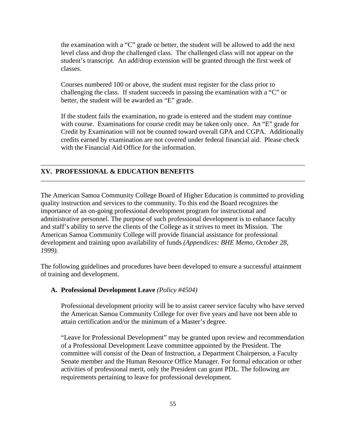the examination with a "C" grade or better, the student will be allowed to add the next level class and drop the challenged class. The challenged class will not appear on the student's transcript. An add/drop extension will be granted through the first week of classes.

Courses numbered 100 or above, the student must register for the class prior to challenging the class. If student succeeds in passing the examination with a "C" or better, the student will be awarded an "E" grade.

If the student fails the examination, no grade is entered and the student may continue with course. Examinations for course credit may be taken only once. An "E" grade for Credit by Examination will not be counted toward overall GPA and CGPA. Additionally credits earned by examination are not covered under federal financial aid. Please check with the Financial Aid Office for the information.

#### **XV. PROFESSIONAL & EDUCATION BENEFITS**

The American Samoa Community College Board of Higher Education is committed to providing quality instruction and services to the community. To this end the Board recognizes the importance of an on-going professional development program for instructional and administrative personnel. The purpose of such professional development is to enhance faculty and staff's ability to serve the clients of the College as it strives to meet its Mission. The American Samoa Community College will provide financial assistance for professional development and training upon availability of funds *(Appendices: BHE Memo, October 28, 1999).* 

The following guidelines and procedures have been developed to ensure a successful attainment of training and development.

#### **A. Professional Development Leave** *(Policy #4504)*

Professional development priority will be to assist career service faculty who have served the American Samoa Community College for over five years and have not been able to attain certification and/or the minimum of a Master's degree.

"Leave for Professional Development" may be granted upon review and recommendation of a Professional Development Leave committee appointed by the President. The committee will consist of the Dean of Instruction, a Department Chairperson, a Faculty Senate member and the Human Resource Office Manager. For formal education or other activities of professional merit, only the President can grant PDL. The following are requirements pertaining to leave for professional development.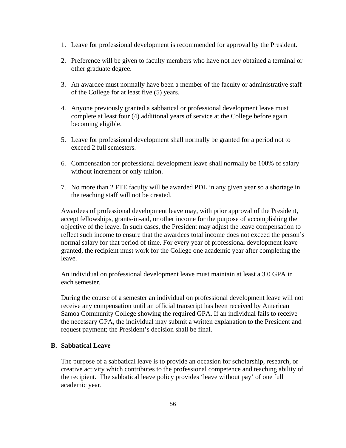- 1. Leave for professional development is recommended for approval by the President.
- 2. Preference will be given to faculty members who have not hey obtained a terminal or other graduate degree.
- 3. An awardee must normally have been a member of the faculty or administrative staff of the College for at least five (5) years.
- 4. Anyone previously granted a sabbatical or professional development leave must complete at least four (4) additional years of service at the College before again becoming eligible.
- 5. Leave for professional development shall normally be granted for a period not to exceed 2 full semesters.
- 6. Compensation for professional development leave shall normally be 100% of salary without increment or only tuition.
- 7. No more than 2 FTE faculty will be awarded PDL in any given year so a shortage in the teaching staff will not be created.

Awardees of professional development leave may, with prior approval of the President, accept fellowships, grants-in-aid, or other income for the purpose of accomplishing the objective of the leave. In such cases, the President may adjust the leave compensation to reflect such income to ensure that the awardees total income does not exceed the person's normal salary for that period of time. For every year of professional development leave granted, the recipient must work for the College one academic year after completing the leave.

An individual on professional development leave must maintain at least a 3.0 GPA in each semester.

During the course of a semester an individual on professional development leave will not receive any compensation until an official transcript has been received by American Samoa Community College showing the required GPA. If an individual fails to receive the necessary GPA, the individual may submit a written explanation to the President and request payment; the President's decision shall be final.

### **B. Sabbatical Leave**

The purpose of a sabbatical leave is to provide an occasion for scholarship, research, or creative activity which contributes to the professional competence and teaching ability of the recipient. The sabbatical leave policy provides 'leave without pay' of one full academic year.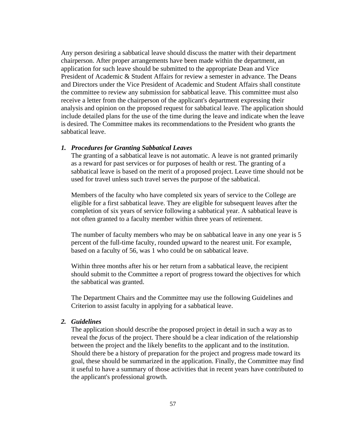Any person desiring a sabbatical leave should discuss the matter with their department chairperson. After proper arrangements have been made within the department, an application for such leave should be submitted to the appropriate Dean and Vice President of Academic & Student Affairs for review a semester in advance. The Deans and Directors under the Vice President of Academic and Student Affairs shall constitute the committee to review any submission for sabbatical leave. This committee must also receive a letter from the chairperson of the applicant's department expressing their analysis and opinion on the proposed request for sabbatical leave. The application should include detailed plans for the use of the time during the leave and indicate when the leave is desired. The Committee makes its recommendations to the President who grants the sabbatical leave.

#### *1. Procedures for Granting Sabbatical Leaves*

The granting of a sabbatical leave is not automatic. A leave is not granted primarily as a reward for past services or for purposes of health or rest. The granting of a sabbatical leave is based on the merit of a proposed project. Leave time should not be used for travel unless such travel serves the purpose of the sabbatical.

Members of the faculty who have completed six years of service to the College are eligible for a first sabbatical leave. They are eligible for subsequent leaves after the completion of six years of service following a sabbatical year. A sabbatical leave is not often granted to a faculty member within three years of retirement.

The number of faculty members who may be on sabbatical leave in any one year is 5 percent of the full-time faculty, rounded upward to the nearest unit. For example, based on a faculty of 56, was 1 who could be on sabbatical leave.

Within three months after his or her return from a sabbatical leave, the recipient should submit to the Committee a report of progress toward the objectives for which the sabbatical was granted.

The Department Chairs and the Committee may use the following Guidelines and Criterion to assist faculty in applying for a sabbatical leave.

### *2. Guidelines*

The application should describe the proposed project in detail in such a way as to reveal the *focus* of the project. There should be a clear indication of the relationship between the project and the likely benefits to the applicant and to the institution. Should there be a history of preparation for the project and progress made toward its goal, these should be summarized in the application. Finally, the Committee may find it useful to have a summary of those activities that in recent years have contributed to the applicant's professional growth.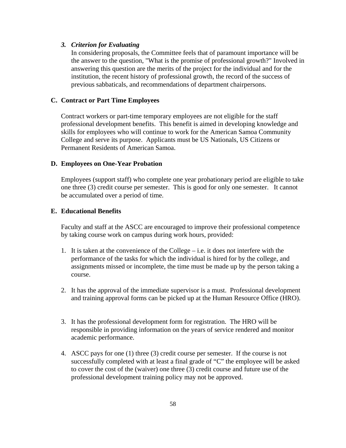#### *3. Criterion for Evaluating*

In considering proposals, the Committee feels that of paramount importance will be the answer to the question, "What is the promise of professional growth?" Involved in answering this question are the merits of the project for the individual and for the institution, the recent history of professional growth, the record of the success of previous sabbaticals, and recommendations of department chairpersons.

### **C. Contract or Part Time Employees**

Contract workers or part-time temporary employees are not eligible for the staff professional development benefits. This benefit is aimed in developing knowledge and skills for employees who will continue to work for the American Samoa Community College and serve its purpose. Applicants must be US Nationals, US Citizens or Permanent Residents of American Samoa.

#### **D. Employees on One-Year Probation**

Employees (support staff) who complete one year probationary period are eligible to take one three (3) credit course per semester. This is good for only one semester. It cannot be accumulated over a period of time.

#### **E. Educational Benefits**

Faculty and staff at the ASCC are encouraged to improve their professional competence by taking course work on campus during work hours, provided:

- 1. It is taken at the convenience of the College i.e. it does not interfere with the performance of the tasks for which the individual is hired for by the college, and assignments missed or incomplete, the time must be made up by the person taking a course.
- 2. It has the approval of the immediate supervisor is a must. Professional development and training approval forms can be picked up at the Human Resource Office (HRO).
- 3. It has the professional development form for registration. The HRO will be responsible in providing information on the years of service rendered and monitor academic performance.
- 4. ASCC pays for one (1) three (3) credit course per semester. If the course is not successfully completed with at least a final grade of "C" the employee will be asked to cover the cost of the (waiver) one three (3) credit course and future use of the professional development training policy may not be approved.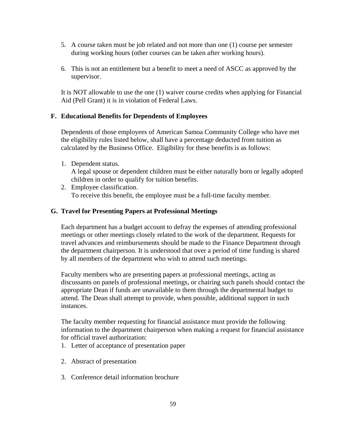- 5. A course taken must be job related and not more than one (1) course per semester during working hours (other courses can be taken after working hours).
- 6. This is not an entitlement but a benefit to meet a need of ASCC as approved by the supervisor.

It is NOT allowable to use the one (1) waiver course credits when applying for Financial Aid (Pell Grant) it is in violation of Federal Laws.

### **F. Educational Benefits for Dependents of Employees**

Dependents of those employees of American Samoa Community College who have met the eligibility rules listed below, shall have a percentage deducted from tuition as calculated by the Business Office. Eligibility for these benefits is as follows:

1. Dependent status.

A legal spouse or dependent children must be either naturally born or legally adopted children in order to qualify for tuition benefits.

2. Employee classification. To receive this benefit, the employee must be a full-time faculty member.

### **G. Travel for Presenting Papers at Professional Meetings**

Each department has a budget account to defray the expenses of attending professional meetings or other meetings closely related to the work of the department. Requests for travel advances and reimbursements should be made to the Finance Department through the department chairperson. It is understood that over a period of time funding is shared by all members of the department who wish to attend such meetings.

Faculty members who are presenting papers at professional meetings, acting as discussants on panels of professional meetings, or chairing such panels should contact the appropriate Dean if funds are unavailable to them through the departmental budget to attend. The Dean shall attempt to provide, when possible, additional support in such instances.

The faculty member requesting for financial assistance must provide the following information to the department chairperson when making a request for financial assistance for official travel authorization:

- 1. Letter of acceptance of presentation paper
- 2. Abstract of presentation
- 3. Conference detail information brochure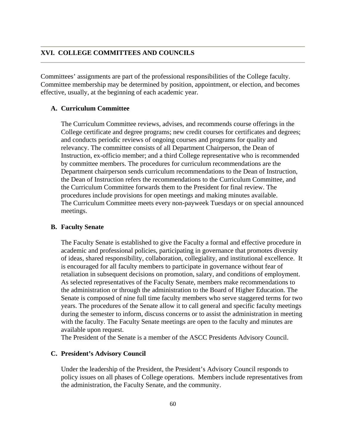### **XVI. COLLEGE COMMITTEES AND COUNCILS**

Committees' assignments are part of the professional responsibilities of the College faculty. Committee membership may be determined by position, appointment, or election, and becomes effective, usually, at the beginning of each academic year.

#### **A. Curriculum Committee**

The Curriculum Committee reviews, advises, and recommends course offerings in the College certificate and degree programs; new credit courses for certificates and degrees; and conducts periodic reviews of ongoing courses and programs for quality and relevancy. The committee consists of all Department Chairperson, the Dean of Instruction, ex-officio member; and a third College representative who is recommended by committee members. The procedures for curriculum recommendations are the Department chairperson sends curriculum recommendations to the Dean of Instruction, the Dean of Instruction refers the recommendations to the Curriculum Committee, and the Curriculum Committee forwards them to the President for final review. The procedures include provisions for open meetings and making minutes available. The Curriculum Committee meets every non-payweek Tuesdays or on special announced meetings.

#### **B. Faculty Senate**

The Faculty Senate is established to give the Faculty a formal and effective procedure in academic and professional policies, participating in governance that promotes diversity of ideas, shared responsibility, collaboration, collegiality, and institutional excellence. It is encouraged for all faculty members to participate in governance without fear of retaliation in subsequent decisions on promotion, salary, and conditions of employment. As selected representatives of the Faculty Senate, members make recommendations to the administration or through the administration to the Board of Higher Education. The Senate is composed of nine full time faculty members who serve staggered terms for two years. The procedures of the Senate allow it to call general and specific faculty meetings during the semester to inform, discuss concerns or to assist the administration in meeting with the faculty. The Faculty Senate meetings are open to the faculty and minutes are available upon request.

The President of the Senate is a member of the ASCC Presidents Advisory Council.

#### **C. President's Advisory Council**

Under the leadership of the President, the President's Advisory Council responds to policy issues on all phases of College operations. Members include representatives from the administration, the Faculty Senate, and the community.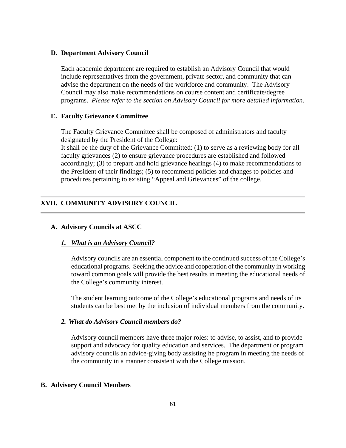#### **D. Department Advisory Council**

Each academic department are required to establish an Advisory Council that would include representatives from the government, private sector, and community that can advise the department on the needs of the workforce and community. The Advisory Council may also make recommendations on course content and certificate/degree programs. *Please refer to the section on Advisory Council for more detailed information.* 

#### **E. Faculty Grievance Committee**

The Faculty Grievance Committee shall be composed of administrators and faculty designated by the President of the College:

It shall be the duty of the Grievance Committed: (1) to serve as a reviewing body for all faculty grievances (2) to ensure grievance procedures are established and followed accordingly; (3) to prepare and hold grievance hearings (4) to make recommendations to the President of their findings; (5) to recommend policies and changes to policies and procedures pertaining to existing "Appeal and Grievances" of the college.

### **XVII. COMMUNITY ADVISORY COUNCIL**

#### **A. Advisory Councils at ASCC**

### *1. What is an Advisory Council?*

Advisory councils are an essential component to the continued success of the College's educational programs. Seeking the advice and cooperation of the community in working toward common goals will provide the best results in meeting the educational needs of the College's community interest.

The student learning outcome of the College's educational programs and needs of its students can be best met by the inclusion of individual members from the community.

### *2. What do Advisory Council members do?*

Advisory council members have three major roles: to advise, to assist, and to provide support and advocacy for quality education and services. The department or program advisory councils an advice-giving body assisting he program in meeting the needs of the community in a manner consistent with the College mission.

#### **B. Advisory Council Members**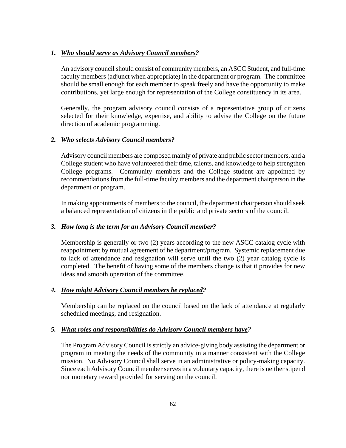# *1. Who should serve as Advisory Council members?*

An advisory council should consist of community members, an ASCC Student, and full-time faculty members (adjunct when appropriate) in the department or program. The committee should be small enough for each member to speak freely and have the opportunity to make contributions, yet large enough for representation of the College constituency in its area.

Generally, the program advisory council consists of a representative group of citizens selected for their knowledge, expertise, and ability to advise the College on the future direction of academic programming.

# *2. Who selects Advisory Council members?*

Advisory council members are composed mainly of private and public sector members, and a College student who have volunteered their time, talents, and knowledge to help strengthen College programs. Community members and the College student are appointed by recommendations from the full-time faculty members and the department chairperson in the department or program.

In making appointments of members to the council, the department chairperson should seek a balanced representation of citizens in the public and private sectors of the council.

## *3. How long is the term for an Advisory Council member?*

Membership is generally or two (2) years according to the new ASCC catalog cycle with reappointment by mutual agreement of he department/program. Systemic replacement due to lack of attendance and resignation will serve until the two (2) year catalog cycle is completed. The benefit of having some of the members change is that it provides for new ideas and smooth operation of the committee.

### *4. How might Advisory Council members be replaced?*

Membership can be replaced on the council based on the lack of attendance at regularly scheduled meetings, and resignation.

# *5. What roles and responsibilities do Advisory Council members have?*

The Program Advisory Council is strictly an advice-giving body assisting the department or program in meeting the needs of the community in a manner consistent with the College mission. No Advisory Council shall serve in an administrative or policy-making capacity. Since each Advisory Council member serves in a voluntary capacity, there is neither stipend nor monetary reward provided for serving on the council.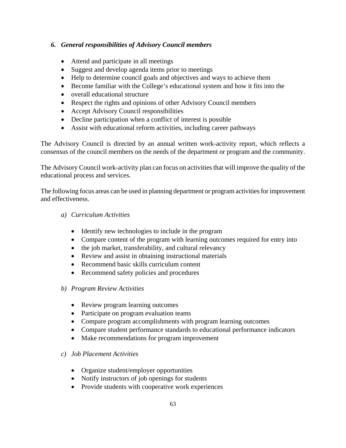# *6. General responsibilities of Advisory Council members*

- Attend and participate in all meetings
- Suggest and develop agenda items prior to meetings
- Help to determine council goals and objectives and ways to achieve them
- Become familiar with the College's educational system and how it fits into the
- overall educational structure
- Respect the rights and opinions of other Advisory Council members
- Accept Advisory Council responsibilities
- Decline participation when a conflict of interest is possible
- Assist with educational reform activities, including career pathways

The Advisory Council is directed by an annual written work-activity report, which reflects a consensus of the council members on the needs of the department or program and the community.

The Advisory Council work-activity plan can focus on activities that will improve the quality of the educational process and services.

The following focus areas can be used in planning department or program activities for improvement and effectiveness.

### *a) Curriculum Activities*

- Identify new technologies to include in the program
- Compare content of the program with learning outcomes required for entry into
- the job market, transferability, and cultural relevancy
- Review and assist in obtaining instructional materials
- Recommend basic skills curriculum content
- Recommend safety policies and procedures
- *b) Program Review Activities* 
	- Review program learning outcomes
	- Participate on program evaluation teams
	- Compare program accomplishments with program learning outcomes
	- Compare student performance standards to educational performance indicators
	- Make recommendations for program improvement

### *c) Job Placement Activities*

- Organize student/employer opportunities
- Notify instructors of job openings for students
- Provide students with cooperative work experiences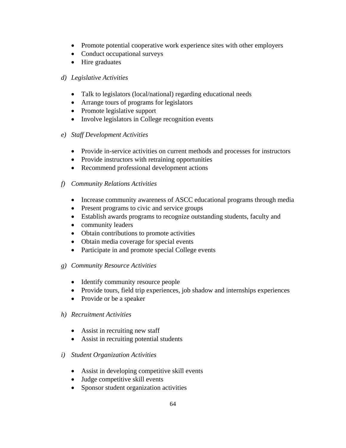- Promote potential cooperative work experience sites with other employers
- Conduct occupational surveys
- Hire graduates
- *d) Legislative Activities* 
	- Talk to legislators (local/national) regarding educational needs
	- Arrange tours of programs for legislators
	- Promote legislative support
	- Involve legislators in College recognition events
- *e) Staff Development Activities* 
	- Provide in-service activities on current methods and processes for instructors
	- Provide instructors with retraining opportunities
	- Recommend professional development actions
- *f) Community Relations Activities* 
	- Increase community awareness of ASCC educational programs through media
	- Present programs to civic and service groups
	- Establish awards programs to recognize outstanding students, faculty and
	- community leaders
	- Obtain contributions to promote activities
	- Obtain media coverage for special events
	- Participate in and promote special College events

### *g) Community Resource Activities*

- Identify community resource people
- Provide tours, field trip experiences, job shadow and internships experiences
- Provide or be a speaker

### *h) Recruitment Activities*

- Assist in recruiting new staff
- Assist in recruiting potential students
- *i) Student Organization Activities* 
	- Assist in developing competitive skill events
	- Judge competitive skill events
	- Sponsor student organization activities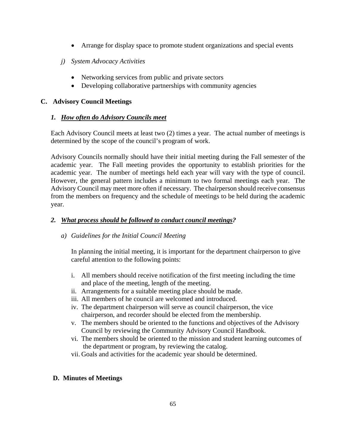- Arrange for display space to promote student organizations and special events
- *j) System Advocacy Activities* 
	- Networking services from public and private sectors
	- Developing collaborative partnerships with community agencies

## **C. Advisory Council Meetings**

### *1. How often do Advisory Councils meet*

Each Advisory Council meets at least two (2) times a year. The actual number of meetings is determined by the scope of the council's program of work.

Advisory Councils normally should have their initial meeting during the Fall semester of the academic year. The Fall meeting provides the opportunity to establish priorities for the academic year. The number of meetings held each year will vary with the type of council. However, the general pattern includes a minimum to two formal meetings each year. The Advisory Council may meet more often if necessary. The chairperson should receive consensus from the members on frequency and the schedule of meetings to be held during the academic year.

# *2. What process should be followed to conduct council meetings?*

# *a) Guidelines for the Initial Council Meeting*

In planning the initial meeting, it is important for the department chairperson to give careful attention to the following points:

- i. All members should receive notification of the first meeting including the time and place of the meeting, length of the meeting.
- ii. Arrangements for a suitable meeting place should be made.
- iii. All members of he council are welcomed and introduced.
- iv. The department chairperson will serve as council chairperson, the vice chairperson, and recorder should be elected from the membership.
- v. The members should be oriented to the functions and objectives of the Advisory Council by reviewing the Community Advisory Council Handbook.
- vi. The members should be oriented to the mission and student learning outcomes of the department or program, by reviewing the catalog.
- vii. Goals and activities for the academic year should be determined.

### **D. Minutes of Meetings**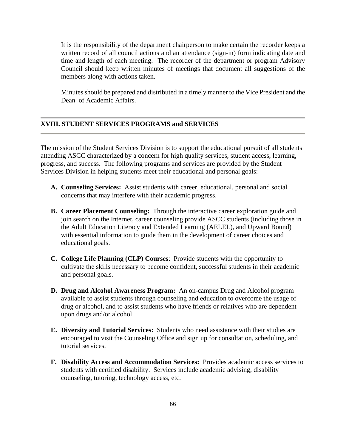It is the responsibility of the department chairperson to make certain the recorder keeps a written record of all council actions and an attendance (sign-in) form indicating date and time and length of each meeting. The recorder of the department or program Advisory Council should keep written minutes of meetings that document all suggestions of the members along with actions taken.

Minutes should be prepared and distributed in a timely manner to the Vice President and the Dean of Academic Affairs.

#### **XVIII. STUDENT SERVICES PROGRAMS and SERVICES**

The mission of the Student Services Division is to support the educational pursuit of all students attending ASCC characterized by a concern for high quality services, student access, learning, progress, and success. The following programs and services are provided by the Student Services Division in helping students meet their educational and personal goals:

- **A. Counseling Services:** Assist students with career, educational, personal and social concerns that may interfere with their academic progress.
- **B. Career Placement Counseling:** Through the interactive career exploration guide and join search on the Internet, career counseling provide ASCC students (including those in the Adult Education Literacy and Extended Learning (AELEL), and Upward Bound) with essential information to guide them in the development of career choices and educational goals.
- **C. College Life Planning (CLP) Courses**: Provide students with the opportunity to cultivate the skills necessary to become confident, successful students in their academic and personal goals.
- **D. Drug and Alcohol Awareness Program:** An on-campus Drug and Alcohol program available to assist students through counseling and education to overcome the usage of drug or alcohol, and to assist students who have friends or relatives who are dependent upon drugs and/or alcohol.
- **E. Diversity and Tutorial Services:** Students who need assistance with their studies are encouraged to visit the Counseling Office and sign up for consultation, scheduling, and tutorial services.
- **F. Disability Access and Accommodation Services:** Provides academic access services to students with certified disability. Services include academic advising, disability counseling, tutoring, technology access, etc.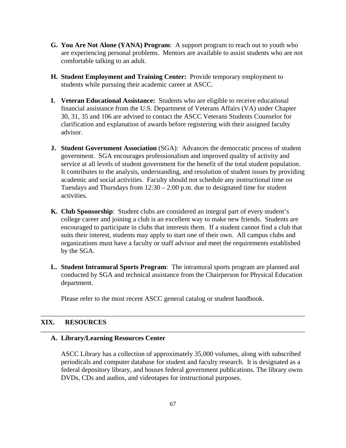- **G. You Are Not Alone (YANA) Program**: A support program to reach out to youth who are experiencing personal problems. Mentors are available to assist students who are not comfortable talking to an adult.
- **H. Student Employment and Training Center:** Provide temporary employment to students while pursuing their academic career at ASCC.
- **I. Veteran Educational Assistance:** Students who are eligible to receive educational financial assistance from the U.S. Department of Veterans Affairs (VA) under Chapter 30, 31, 35 and 106 are advised to contact the ASCC Veterans Students Counselor for clarification and explanation of awards before registering with their assigned faculty advisor.
- **J. Student Government Association** (SGA): Advances the democratic process of student government. SGA encourages professionalism and improved quality of activity and service at all levels of student government for the benefit of the total student population. It contributes to the analysis, understanding, and resolution of student issues by providing academic and social activities. Faculty should not schedule any instructional time on Tuesdays and Thursdays from  $12:30 - 2:00$  p.m. due to designated time for student activities.
- **K. Club Sponsorship**: Student clubs are considered an integral part of every student's college career and joining a club is an excellent way to make new friends. Students are encouraged to participate in clubs that interests them. If a student cannot find a club that suits their interest, students may apply to start one of their own. All campus clubs and organizations must have a faculty or staff advisor and meet the requirements established by the SGA.
- **L. Student Intramural Sports Program**: The intramural sports program are planned and conducted by SGA and technical assistance from the Chairperson for Physical Education department.

Please refer to the most recent ASCC general catalog or student handbook.

## **XIX. RESOURCES**

#### **A. Library/Learning Resources Center**

ASCC Library has a collection of approximately 35,000 volumes, along with subscribed periodicals and computer database for student and faculty research. It is designated as a federal depository library, and houses federal government publications. The library owns DVDs, CDs and audios, and videotapes for instructional purposes.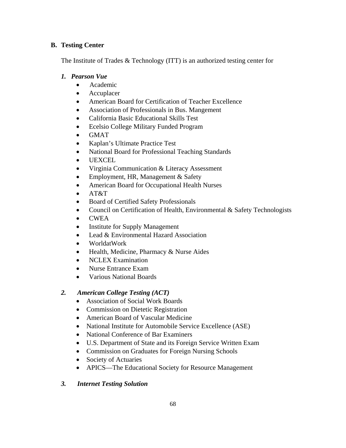# **B. Testing Center**

The Institute of Trades & Technology (ITT) is an authorized testing center for

# *1. Pearson Vue*

- Academic
- Accuplacer
- American Board for Certification of Teacher Excellence
- Association of Professionals in Bus. Mangement
- California Basic Educational Skills Test
- Ecelsio College Military Funded Program
- GMAT
- Kaplan's Ultimate Practice Test
- National Board for Professional Teaching Standards
- UEXCEL
- Virginia Communication & Literacy Assessment
- Employment, HR, Management & Safety
- American Board for Occupational Health Nurses
- AT&T
- Board of Certified Safety Professionals
- Council on Certification of Health, Environmental & Safety Technologists
- CWEA
- **Institute for Supply Management**
- Lead & Environmental Hazard Association
- WorldatWork
- Health, Medicine, Pharmacy & Nurse Aides
- NCLEX Examination
- Nurse Entrance Exam
- Various National Boards

# *2. American College Testing (ACT)*

- Association of Social Work Boards
- Commission on Dietetic Registration
- American Board of Vascular Medicine
- National Institute for Automobile Service Excellence (ASE)
- National Conference of Bar Examiners
- U.S. Department of State and its Foreign Service Written Exam
- Commission on Graduates for Foreign Nursing Schools
- Society of Actuaries
- APICS—The Educational Society for Resource Management
- *3. Internet Testing Solution*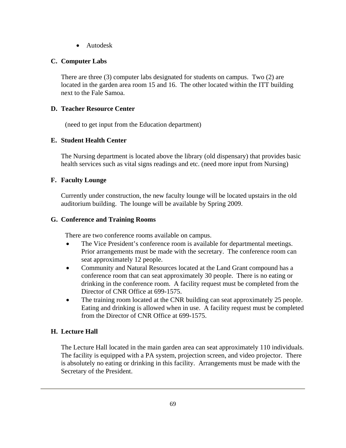• Autodesk

# **C. Computer Labs**

There are three (3) computer labs designated for students on campus. Two (2) are located in the garden area room 15 and 16. The other located within the ITT building next to the Fale Samoa.

## **D. Teacher Resource Center**

(need to get input from the Education department)

# **E. Student Health Center**

The Nursing department is located above the library (old dispensary) that provides basic health services such as vital signs readings and etc. (need more input from Nursing)

### **F. Faculty Lounge**

Currently under construction, the new faculty lounge will be located upstairs in the old auditorium building. The lounge will be available by Spring 2009.

### **G. Conference and Training Rooms**

There are two conference rooms available on campus.

- The Vice President's conference room is available for departmental meetings. Prior arrangements must be made with the secretary. The conference room can seat approximately 12 people.
- Community and Natural Resources located at the Land Grant compound has a conference room that can seat approximately 30 people. There is no eating or drinking in the conference room. A facility request must be completed from the Director of CNR Office at 699-1575.
- The training room located at the CNR building can seat approximately 25 people. Eating and drinking is allowed when in use. A facility request must be completed from the Director of CNR Office at 699-1575.

# **H. Lecture Hall**

The Lecture Hall located in the main garden area can seat approximately 110 individuals. The facility is equipped with a PA system, projection screen, and video projector. There is absolutely no eating or drinking in this facility. Arrangements must be made with the Secretary of the President.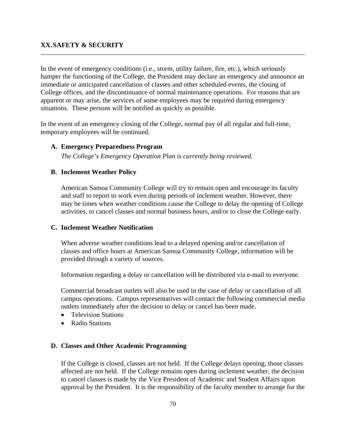### **XX. SAFETY & SECURITY**

In the event of emergency conditions (i.e., storm, utility failure, fire, etc.), which seriously hamper the functioning of the College, the President may declare an emergency and announce an immediate or anticipated cancellation of classes and other scheduled events, the closing of College offices, and the discontinuance of normal maintenance operations. For reasons that are apparent or may arise, the services of some employees may be required during emergency situations. These persons will be notified as quickly as possible.

In the event of an emergency closing of the College, normal pay of all regular and full-time, temporary employees will be continued.

### **A. Emergency Preparedness Program**

*The College's Emergency Operation Plan is currently being reviewed.* 

### **B. Inclement Weather Policy**

American Samoa Community College will try to remain open and encourage its faculty and staff to report to work even during periods of inclement weather. However, there may be times when weather conditions cause the College to delay the opening of College activities, to cancel classes and normal business hours, and/or to close the College early.

#### **C. Inclement Weather Notification**

When adverse weather conditions lead to a delayed opening and/or cancellation of classes and office hours at American Samoa Community College, information will be provided through a variety of sources.

Information regarding a delay or cancellation will be distributed via e-mail to everyone.

Commercial broadcast outlets will also be used in the case of delay or cancellation of all campus operations. Campus representatives will contact the following commercial media outlets immediately after the decision to delay or cancel has been made.

- Television Stations
- Radio Stations

#### **D. Classes and Other Academic Programming**

If the College is closed, classes are not held. If the College delays opening, those classes affected are not held. If the College remains open during inclement weather, the decision to cancel classes is made by the Vice President of Academic and Student Affairs upon approval by the President. It is the responsibility of the faculty member to arrange for the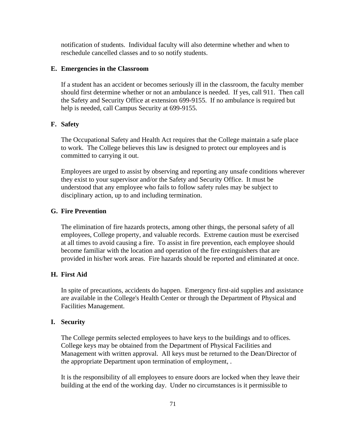notification of students. Individual faculty will also determine whether and when to reschedule cancelled classes and to so notify students.

### **E. Emergencies in the Classroom**

If a student has an accident or becomes seriously ill in the classroom, the faculty member should first determine whether or not an ambulance is needed. If yes, call 911. Then call the Safety and Security Office at extension 699-9155. If no ambulance is required but help is needed, call Campus Security at 699-9155.

### **F. Safety**

The Occupational Safety and Health Act requires that the College maintain a safe place to work. The College believes this law is designed to protect our employees and is committed to carrying it out.

Employees are urged to assist by observing and reporting any unsafe conditions wherever they exist to your supervisor and/or the Safety and Security Office. It must be understood that any employee who fails to follow safety rules may be subject to disciplinary action, up to and including termination.

#### **G. Fire Prevention**

The elimination of fire hazards protects, among other things, the personal safety of all employees, College property, and valuable records. Extreme caution must be exercised at all times to avoid causing a fire. To assist in fire prevention, each employee should become familiar with the location and operation of the fire extinguishers that are provided in his/her work areas. Fire hazards should be reported and eliminated at once.

### **H. First Aid**

In spite of precautions, accidents do happen. Emergency first-aid supplies and assistance are available in the College's Health Center or through the Department of Physical and Facilities Management.

#### **I. Security**

The College permits selected employees to have keys to the buildings and to offices. College keys may be obtained from the Department of Physical Facilities and Management with written approval. All keys must be returned to the Dean/Director of the appropriate Department upon termination of employment, .

It is the responsibility of all employees to ensure doors are locked when they leave their building at the end of the working day. Under no circumstances is it permissible to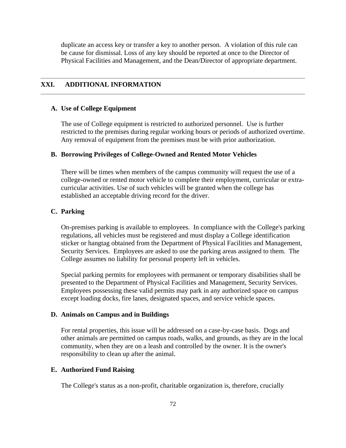duplicate an access key or transfer a key to another person. A violation of this rule can be cause for dismissal. Loss of any key should be reported at once to the Director of Physical Facilities and Management, and the Dean/Director of appropriate department.

### **XXI. ADDITIONAL INFORMATION**

#### **A. Use of College Equipment**

The use of College equipment is restricted to authorized personnel. Use is further restricted to the premises during regular working hours or periods of authorized overtime. Any removal of equipment from the premises must be with prior authorization.

#### **B. Borrowing Privileges of College-Owned and Rented Motor Vehicles**

There will be times when members of the campus community will request the use of a college-owned or rented motor vehicle to complete their employment, curricular or extracurricular activities. Use of such vehicles will be granted when the college has established an acceptable driving record for the driver.

### **C. Parking**

On-premises parking is available to employees. In compliance with the College's parking regulations, all vehicles must be registered and must display a College identification sticker or hangtag obtained from the Department of Physical Facilities and Management, Security Services. Employees are asked to use the parking areas assigned to them. The College assumes no liability for personal property left in vehicles.

Special parking permits for employees with permanent or temporary disabilities shall be presented to the Department of Physical Facilities and Management, Security Services. Employees possessing these valid permits may park in any authorized space on campus except loading docks, fire lanes, designated spaces, and service vehicle spaces.

### **D. Animals on Campus and in Buildings**

For rental properties, this issue will be addressed on a case-by-case basis. Dogs and other animals are permitted on campus roads, walks, and grounds, as they are in the local community, when they are on a leash and controlled by the owner. It is the owner's responsibility to clean up after the animal.

### **E. Authorized Fund Raising**

The College's status as a non-profit, charitable organization is, therefore, crucially